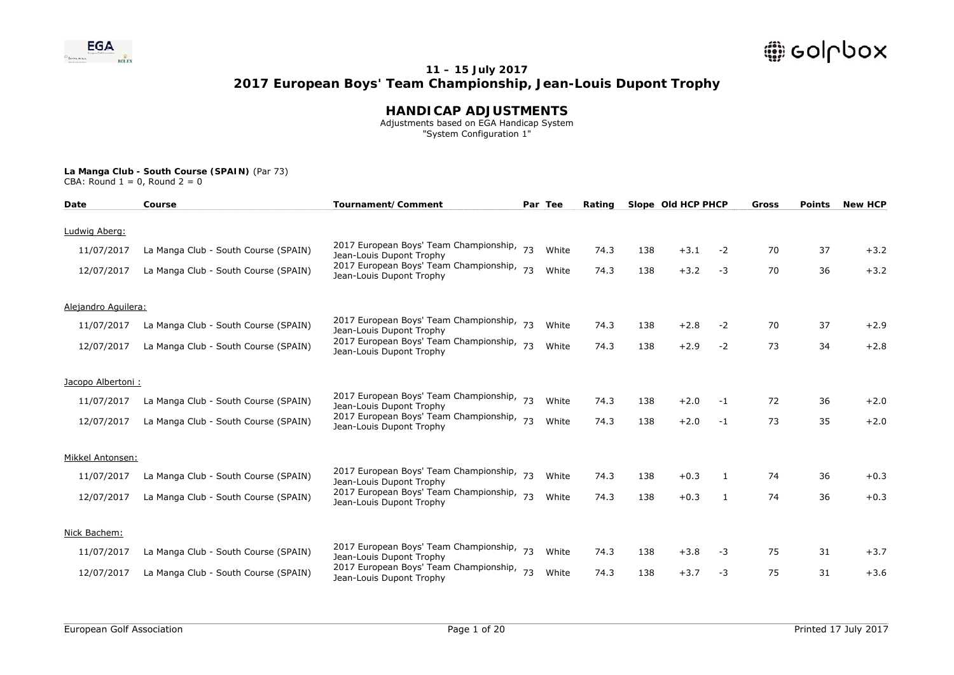

### **HANDICAP ADJUSTMENTS**

 Adjustments based on EGA Handicap System "System Configuration 1"

| Date                | Course                               | Tournament/Comment                                                    |    | Par Tee | Rating |     | Slope Old HCP PHCP |      | Gross | <b>Points</b> | <b>New HCP</b> |
|---------------------|--------------------------------------|-----------------------------------------------------------------------|----|---------|--------|-----|--------------------|------|-------|---------------|----------------|
| Ludwig Aberg:       |                                      |                                                                       |    |         |        |     |                    |      |       |               |                |
| 11/07/2017          | La Manga Club - South Course (SPAIN) | 2017 European Boys' Team Championship,                                | 73 | White   | 74.3   | 138 | $+3.1$             | $-2$ | 70    | 37            | $+3.2$         |
|                     |                                      | Jean-Louis Dupont Trophy                                              |    |         |        |     |                    |      |       |               |                |
| 12/07/2017          | La Manga Club - South Course (SPAIN) | 2017 European Boys' Team Championship, 73<br>Jean-Louis Dupont Trophy |    | White   | 74.3   | 138 | $+3.2$             | $-3$ | 70    | 36            | $+3.2$         |
| Alejandro Aguilera: |                                      |                                                                       |    |         |        |     |                    |      |       |               |                |
| 11/07/2017          | La Manga Club - South Course (SPAIN) | 2017 European Boys' Team Championship, 73<br>Jean-Louis Dupont Trophy |    | White   | 74.3   | 138 | $+2.8$             | $-2$ | 70    | 37            | $+2.9$         |
| 12/07/2017          | La Manga Club - South Course (SPAIN) | 2017 European Boys' Team Championship,<br>Jean-Louis Dupont Trophy    | 73 | White   | 74.3   | 138 | $+2.9$             | $-2$ | 73    | 34            | $+2.8$         |
| Jacopo Albertoni:   |                                      |                                                                       |    |         |        |     |                    |      |       |               |                |
| 11/07/2017          | La Manga Club - South Course (SPAIN) | 2017 European Boys' Team Championship, 73<br>Jean-Louis Dupont Trophy |    | White   | 74.3   | 138 | $+2.0$             | -1   | 72    | 36            | $+2.0$         |
| 12/07/2017          | La Manga Club - South Course (SPAIN) | 2017 European Boys' Team Championship,<br>Jean-Louis Dupont Trophy    | 73 | White   | 74.3   | 138 | $+2.0$             | $-1$ | 73    | 35            | $+2.0$         |
| Mikkel Antonsen:    |                                      |                                                                       |    |         |        |     |                    |      |       |               |                |
| 11/07/2017          | La Manga Club - South Course (SPAIN) | 2017 European Boys' Team Championship, 73<br>Jean-Louis Dupont Trophy |    | White   | 74.3   | 138 | $+0.3$             | 1    | 74    | 36            | $+0.3$         |
| 12/07/2017          | La Manga Club - South Course (SPAIN) | 2017 European Boys' Team Championship,<br>Jean-Louis Dupont Trophy    | 73 | White   | 74.3   | 138 | $+0.3$             | 1    | 74    | 36            | $+0.3$         |
| Nick Bachem:        |                                      |                                                                       |    |         |        |     |                    |      |       |               |                |
| 11/07/2017          | La Manga Club - South Course (SPAIN) | 2017 European Boys' Team Championship,<br>Jean-Louis Dupont Trophy    | 73 | White   | 74.3   | 138 | $+3.8$             | -3   | 75    | 31            | $+3.7$         |
| 12/07/2017          | La Manga Club - South Course (SPAIN) | 2017 European Boys' Team Championship,<br>Jean-Louis Dupont Trophy    | 73 | White   | 74.3   | 138 | $+3.7$             | -3   | 75    | 31            | $+3.6$         |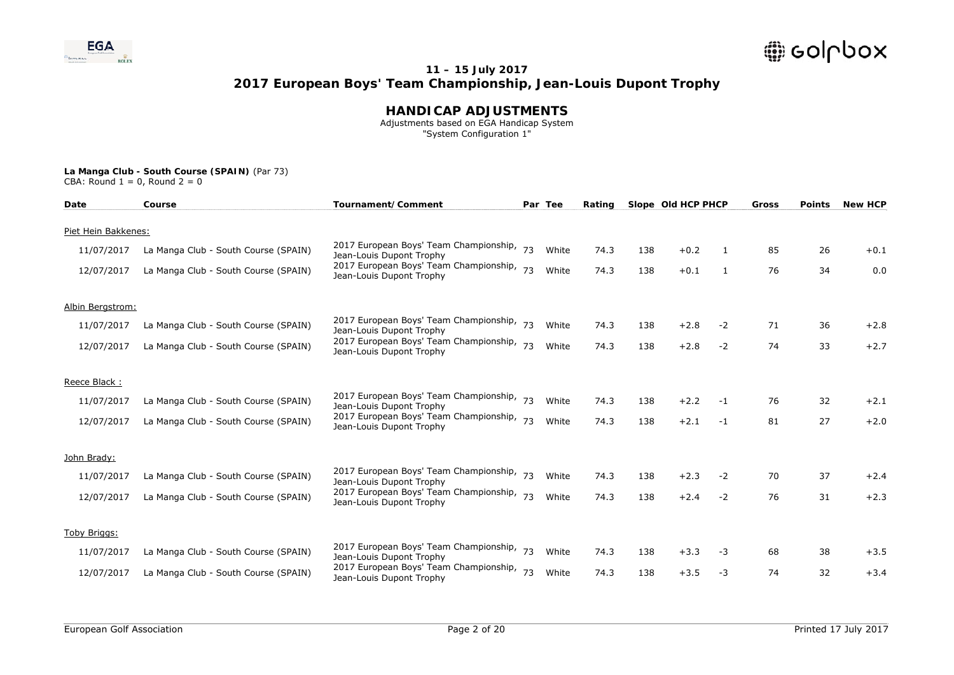

### **HANDICAP ADJUSTMENTS**

 Adjustments based on EGA Handicap System "System Configuration 1"

| Date                | Course                               | Tournament/Comment                                                    |    | Par Tee | Rating |     | Slope Old HCP PHCP |      | Gross | <b>Points</b> | <b>New HCP</b> |
|---------------------|--------------------------------------|-----------------------------------------------------------------------|----|---------|--------|-----|--------------------|------|-------|---------------|----------------|
| Piet Hein Bakkenes: |                                      |                                                                       |    |         |        |     |                    |      |       |               |                |
| 11/07/2017          | La Manga Club - South Course (SPAIN) | 2017 European Boys' Team Championship, 73<br>Jean-Louis Dupont Trophy |    | White   | 74.3   | 138 | $+0.2$             | 1    | 85    | 26            | $+0.1$         |
| 12/07/2017          | La Manga Club - South Course (SPAIN) | 2017 European Boys' Team Championship,<br>Jean-Louis Dupont Trophy    | 73 | White   | 74.3   | 138 | $+0.1$             | 1    | 76    | 34            | 0.0            |
| Albin Bergstrom:    |                                      |                                                                       |    |         |        |     |                    |      |       |               |                |
| 11/07/2017          | La Manga Club - South Course (SPAIN) | 2017 European Boys' Team Championship, 73<br>Jean-Louis Dupont Trophy |    | White   | 74.3   | 138 | $+2.8$             | $-2$ | 71    | 36            | $+2.8$         |
| 12/07/2017          | La Manga Club - South Course (SPAIN) | 2017 European Boys' Team Championship, 73<br>Jean-Louis Dupont Trophy |    | White   | 74.3   | 138 | $+2.8$             | $-2$ | 74    | 33            | $+2.7$         |
| Reece Black:        |                                      |                                                                       |    |         |        |     |                    |      |       |               |                |
| 11/07/2017          | La Manga Club - South Course (SPAIN) | 2017 European Boys' Team Championship, 73<br>Jean-Louis Dupont Trophy |    | White   | 74.3   | 138 | $+2.2$             | $-1$ | 76    | 32            | $+2.1$         |
| 12/07/2017          | La Manga Club - South Course (SPAIN) | 2017 European Boys' Team Championship, 73<br>Jean-Louis Dupont Trophy |    | White   | 74.3   | 138 | $+2.1$             | $-1$ | 81    | 27            | $+2.0$         |
| John Brady:         |                                      |                                                                       |    |         |        |     |                    |      |       |               |                |
| 11/07/2017          | La Manga Club - South Course (SPAIN) | 2017 European Boys' Team Championship, 73<br>Jean-Louis Dupont Trophy |    | White   | 74.3   | 138 | $+2.3$             | $-2$ | 70    | 37            | $+2.4$         |
| 12/07/2017          | La Manga Club - South Course (SPAIN) | 2017 European Boys' Team Championship, 73<br>Jean-Louis Dupont Trophy |    | White   | 74.3   | 138 | $+2.4$             | $-2$ | 76    | 31            | $+2.3$         |
| Toby Briggs:        |                                      |                                                                       |    |         |        |     |                    |      |       |               |                |
| 11/07/2017          | La Manga Club - South Course (SPAIN) | 2017 European Boys' Team Championship,<br>Jean-Louis Dupont Trophy    | 73 | White   | 74.3   | 138 | $+3.3$             | -3   | 68    | 38            | $+3.5$         |
| 12/07/2017          | La Manga Club - South Course (SPAIN) | 2017 European Boys' Team Championship, 73<br>Jean-Louis Dupont Trophy |    | White   | 74.3   | 138 | $+3.5$             | $-3$ | 74    | 32            | $+3.4$         |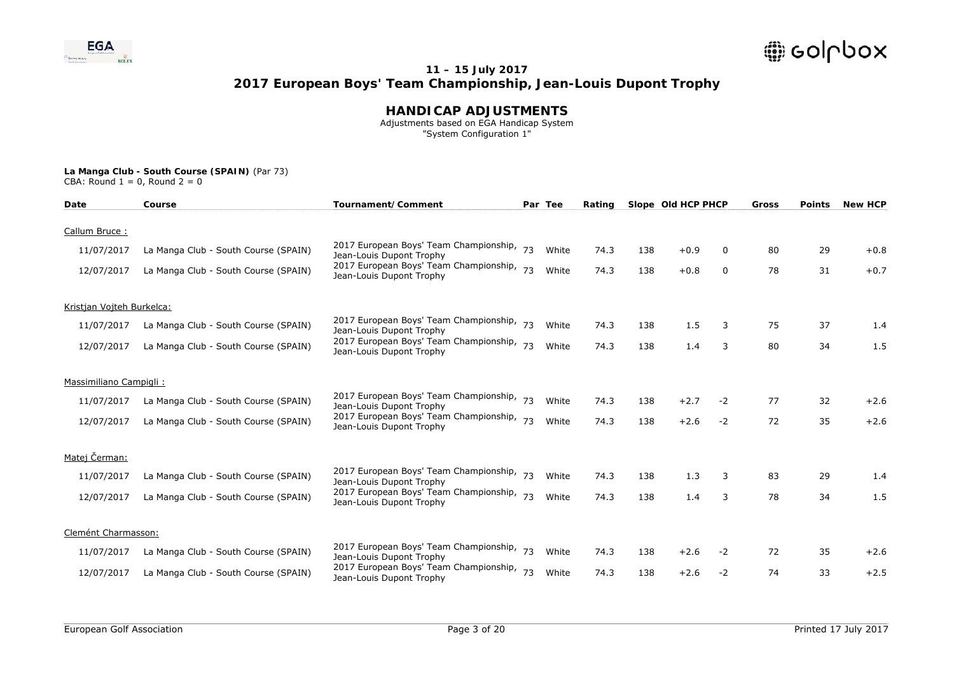

### **HANDICAP ADJUSTMENTS**

 Adjustments based on EGA Handicap System "System Configuration 1"

| Date                      | Course                               | Tournament/Comment                                                    |    | Par Tee | Rating |     | Slope Old HCP PHCP |      | <b>Gross</b> | <b>Points</b> | <b>New HCP</b> |
|---------------------------|--------------------------------------|-----------------------------------------------------------------------|----|---------|--------|-----|--------------------|------|--------------|---------------|----------------|
|                           |                                      |                                                                       |    |         |        |     |                    |      |              |               |                |
| Callum Bruce:             |                                      |                                                                       |    |         |        |     |                    |      |              |               |                |
| 11/07/2017                | La Manga Club - South Course (SPAIN) | 2017 European Boys' Team Championship, 73<br>Jean-Louis Dupont Trophy |    | White   | 74.3   | 138 | $+0.9$             | 0    | 80           | 29            | $+0.8$         |
| 12/07/2017                | La Manga Club - South Course (SPAIN) | 2017 European Boys' Team Championship,<br>Jean-Louis Dupont Trophy    | 73 | White   | 74.3   | 138 | $+0.8$             | 0    | 78           | 31            | $+0.7$         |
| Kristjan Vojteh Burkelca: |                                      |                                                                       |    |         |        |     |                    |      |              |               |                |
| 11/07/2017                | La Manga Club - South Course (SPAIN) | 2017 European Boys' Team Championship, 73<br>Jean-Louis Dupont Trophy |    | White   | 74.3   | 138 | 1.5                | 3    | 75           | 37            | 1.4            |
| 12/07/2017                | La Manga Club - South Course (SPAIN) | 2017 European Boys' Team Championship, 73<br>Jean-Louis Dupont Trophy |    | White   | 74.3   | 138 | 1.4                | 3    | 80           | 34            | 1.5            |
| Massimiliano Campigli:    |                                      |                                                                       |    |         |        |     |                    |      |              |               |                |
| 11/07/2017                | La Manga Club - South Course (SPAIN) | 2017 European Boys' Team Championship, 73<br>Jean-Louis Dupont Trophy |    | White   | 74.3   | 138 | $+2.7$             | $-2$ | 77           | 32            | $+2.6$         |
| 12/07/2017                | La Manga Club - South Course (SPAIN) | 2017 European Boys' Team Championship, 73<br>Jean-Louis Dupont Trophy |    | White   | 74.3   | 138 | $+2.6$             | $-2$ | 72           | 35            | $+2.6$         |
| Matej Čerman:             |                                      |                                                                       |    |         |        |     |                    |      |              |               |                |
| 11/07/2017                | La Manga Club - South Course (SPAIN) | 2017 European Boys' Team Championship, 73<br>Jean-Louis Dupont Trophy |    | White   | 74.3   | 138 | 1.3                | 3    | 83           | 29            | 1.4            |
| 12/07/2017                | La Manga Club - South Course (SPAIN) | 2017 European Boys' Team Championship, 73<br>Jean-Louis Dupont Trophy |    | White   | 74.3   | 138 | 1.4                | 3    | 78           | 34            | 1.5            |
| Clemént Charmasson:       |                                      |                                                                       |    |         |        |     |                    |      |              |               |                |
|                           |                                      | 2017 European Boys' Team Championship,                                |    |         |        |     |                    |      |              |               |                |
| 11/07/2017                | La Manga Club - South Course (SPAIN) | Jean-Louis Dupont Trophy                                              | 73 | White   | 74.3   | 138 | $+2.6$             | $-2$ | 72           | 35            | $+2.6$         |
| 12/07/2017                | La Manga Club - South Course (SPAIN) | 2017 European Boys' Team Championship, 73<br>Jean-Louis Dupont Trophy |    | White   | 74.3   | 138 | $+2.6$             | $-2$ | 74           | 33            | $+2.5$         |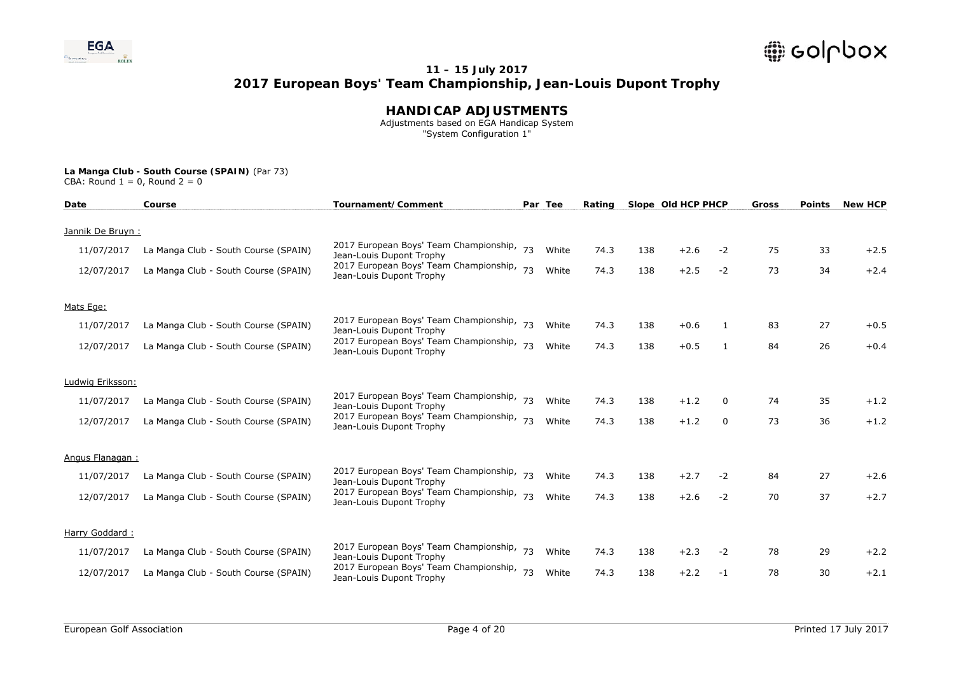

### **HANDICAP ADJUSTMENTS**

 Adjustments based on EGA Handicap System "System Configuration 1"

| Date             | Course                               | Tournament/Comment                                                    |    | Par Tee | Rating |     | Slope Old HCP PHCP |      | <b>Gross</b> | <b>Points</b> | <b>New HCP</b> |
|------------------|--------------------------------------|-----------------------------------------------------------------------|----|---------|--------|-----|--------------------|------|--------------|---------------|----------------|
|                  |                                      |                                                                       |    |         |        |     |                    |      |              |               |                |
| Jannik De Bruyn: |                                      |                                                                       |    |         |        |     |                    |      |              |               |                |
| 11/07/2017       | La Manga Club - South Course (SPAIN) | 2017 European Boys' Team Championship, 73<br>Jean-Louis Dupont Trophy |    | White   | 74.3   | 138 | $+2.6$             | $-2$ | 75           | 33            | $+2.5$         |
| 12/07/2017       | La Manga Club - South Course (SPAIN) | 2017 European Boys' Team Championship,<br>Jean-Louis Dupont Trophy    | 73 | White   | 74.3   | 138 | $+2.5$             | $-2$ | 73           | 34            | $+2.4$         |
| Mats Ege:        |                                      |                                                                       |    |         |        |     |                    |      |              |               |                |
| 11/07/2017       | La Manga Club - South Course (SPAIN) | 2017 European Boys' Team Championship, 73<br>Jean-Louis Dupont Trophy |    | White   | 74.3   | 138 | $+0.6$             | -1   | 83           | 27            | $+0.5$         |
| 12/07/2017       | La Manga Club - South Course (SPAIN) | 2017 European Boys' Team Championship, 73<br>Jean-Louis Dupont Trophy |    | White   | 74.3   | 138 | $+0.5$             | 1    | 84           | 26            | $+0.4$         |
| Ludwig Eriksson: |                                      |                                                                       |    |         |        |     |                    |      |              |               |                |
| 11/07/2017       | La Manga Club - South Course (SPAIN) | 2017 European Boys' Team Championship, 73<br>Jean-Louis Dupont Trophy |    | White   | 74.3   | 138 | $+1.2$             | 0    | 74           | 35            | $+1.2$         |
| 12/07/2017       | La Manga Club - South Course (SPAIN) | 2017 European Boys' Team Championship, 73<br>Jean-Louis Dupont Trophy |    | White   | 74.3   | 138 | $+1.2$             | 0    | 73           | 36            | $+1.2$         |
| Angus Flanagan:  |                                      |                                                                       |    |         |        |     |                    |      |              |               |                |
| 11/07/2017       | La Manga Club - South Course (SPAIN) | 2017 European Boys' Team Championship, 73<br>Jean-Louis Dupont Trophy |    | White   | 74.3   | 138 | $+2.7$             | $-2$ | 84           | 27            | $+2.6$         |
| 12/07/2017       | La Manga Club - South Course (SPAIN) | 2017 European Boys' Team Championship, 73<br>Jean-Louis Dupont Trophy |    | White   | 74.3   | 138 | $+2.6$             | $-2$ | 70           | 37            | $+2.7$         |
| Harry Goddard:   |                                      |                                                                       |    |         |        |     |                    |      |              |               |                |
| 11/07/2017       | La Manga Club - South Course (SPAIN) | 2017 European Boys' Team Championship,<br>Jean-Louis Dupont Trophy    | 73 | White   | 74.3   | 138 | $+2.3$             | $-2$ | 78           | 29            | $+2.2$         |
| 12/07/2017       | La Manga Club - South Course (SPAIN) | 2017 European Boys' Team Championship, 73<br>Jean-Louis Dupont Trophy |    | White   | 74.3   | 138 | $+2.2$             | $-1$ | 78           | 30            | $+2.1$         |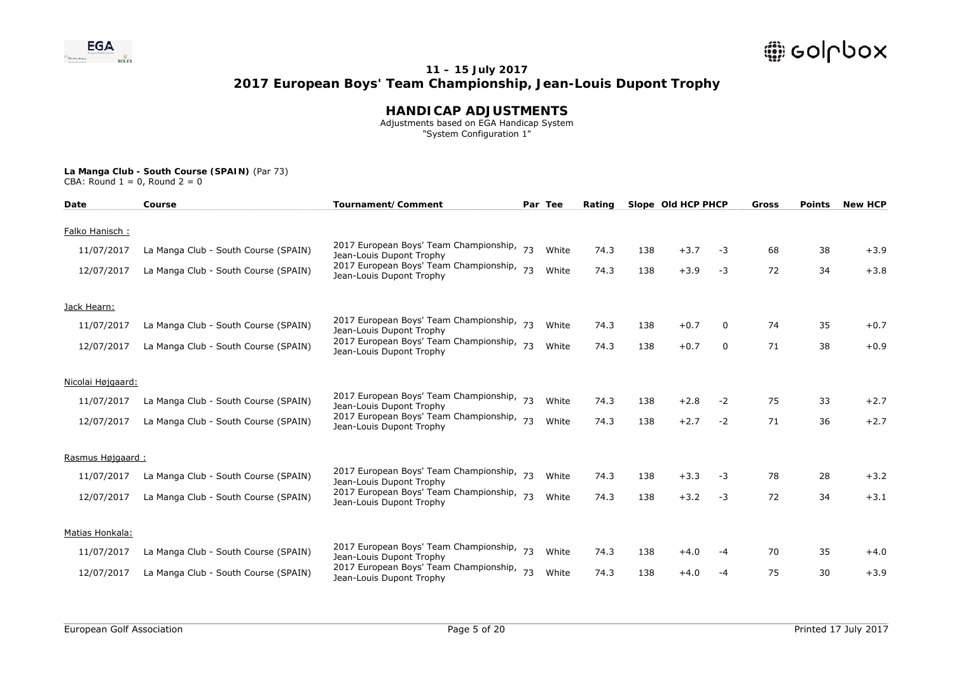

### **HANDICAP ADJUSTMENTS**

 Adjustments based on EGA Handicap System "System Configuration 1"

| Date              | Course                               | Tournament/Comment                                                    |    | Par Tee | Rating |     | Slope Old HCP PHCP |      | Gross | <b>Points</b> | <b>New HCP</b> |
|-------------------|--------------------------------------|-----------------------------------------------------------------------|----|---------|--------|-----|--------------------|------|-------|---------------|----------------|
| Falko Hanisch:    |                                      |                                                                       |    |         |        |     |                    |      |       |               |                |
|                   |                                      | 2017 European Boys' Team Championship, 73                             |    |         |        |     |                    |      |       |               |                |
| 11/07/2017        | La Manga Club - South Course (SPAIN) | Jean-Louis Dupont Trophy                                              |    | White   | 74.3   | 138 | $+3.7$             | -3   | 68    | 38            | $+3.9$         |
| 12/07/2017        | La Manga Club - South Course (SPAIN) | 2017 European Boys' Team Championship, 73<br>Jean-Louis Dupont Trophy |    | White   | 74.3   | 138 | $+3.9$             | $-3$ | 72    | 34            | $+3.8$         |
| Jack Hearn:       |                                      |                                                                       |    |         |        |     |                    |      |       |               |                |
| 11/07/2017        | La Manga Club - South Course (SPAIN) | 2017 European Boys' Team Championship, 73<br>Jean-Louis Dupont Trophy |    | White   | 74.3   | 138 | $+0.7$             | 0    | 74    | 35            | $+0.7$         |
| 12/07/2017        | La Manga Club - South Course (SPAIN) | 2017 European Boys' Team Championship,<br>Jean-Louis Dupont Trophy    | 73 | White   | 74.3   | 138 | $+0.7$             | 0    | 71    | 38            | $+0.9$         |
| Nicolai Højgaard: |                                      |                                                                       |    |         |        |     |                    |      |       |               |                |
| 11/07/2017        | La Manga Club - South Course (SPAIN) | 2017 European Boys' Team Championship, 73<br>Jean-Louis Dupont Trophy |    | White   | 74.3   | 138 | $+2.8$             | $-2$ | 75    | 33            | $+2.7$         |
| 12/07/2017        | La Manga Club - South Course (SPAIN) | 2017 European Boys' Team Championship, 73<br>Jean-Louis Dupont Trophy |    | White   | 74.3   | 138 | $+2.7$             | $-2$ | 71    | 36            | $+2.7$         |
| Rasmus Højgaard:  |                                      |                                                                       |    |         |        |     |                    |      |       |               |                |
| 11/07/2017        | La Manga Club - South Course (SPAIN) | 2017 European Boys' Team Championship,<br>Jean-Louis Dupont Trophy    |    | White   | 74.3   | 138 | $+3.3$             | -3   | 78    | 28            | $+3.2$         |
| 12/07/2017        | La Manga Club - South Course (SPAIN) | 2017 European Boys' Team Championship, 73<br>Jean-Louis Dupont Trophy |    | White   | 74.3   | 138 | $+3.2$             | $-3$ | 72    | 34            | $+3.1$         |
| Matias Honkala:   |                                      |                                                                       |    |         |        |     |                    |      |       |               |                |
| 11/07/2017        | La Manga Club - South Course (SPAIN) | 2017 European Boys' Team Championship,<br>Jean-Louis Dupont Trophy    | 73 | White   | 74.3   | 138 | $+4.0$             | -4   | 70    | 35            | $+4.0$         |
| 12/07/2017        | La Manga Club - South Course (SPAIN) | 2017 European Boys' Team Championship, 73<br>Jean-Louis Dupont Trophy |    | White   | 74.3   | 138 | $+4.0$             | $-4$ | 75    | 30            | $+3.9$         |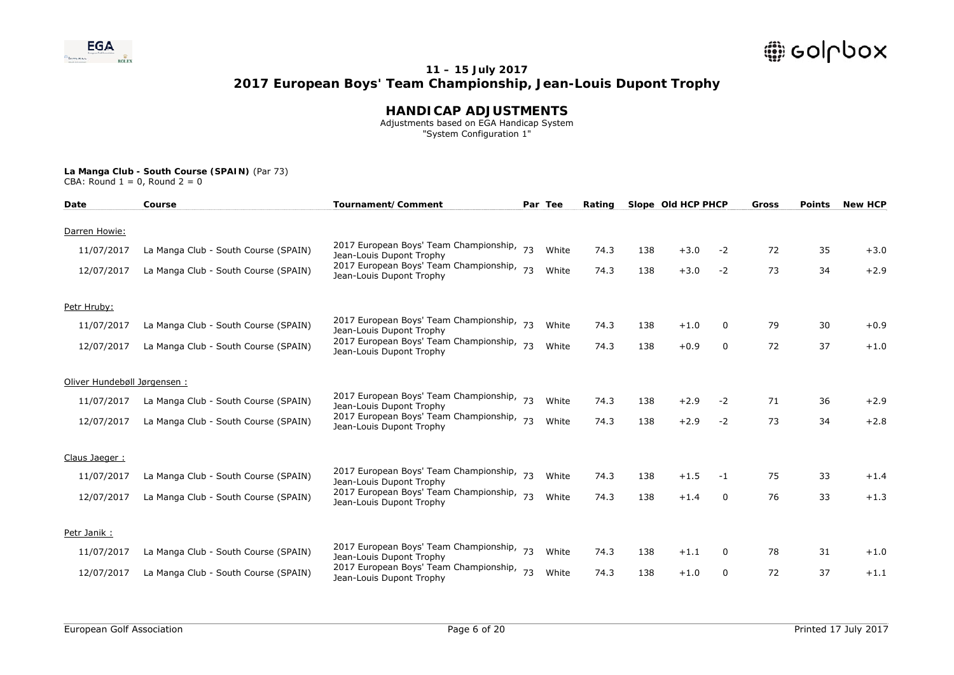

### **HANDICAP ADJUSTMENTS**

 Adjustments based on EGA Handicap System "System Configuration 1"

| Date                        | Course                               | Tournament/Comment                                                    |    | Par Tee | Rating |     | Slope Old HCP PHCP |              | Gross | <b>Points</b> | <b>New HCP</b> |
|-----------------------------|--------------------------------------|-----------------------------------------------------------------------|----|---------|--------|-----|--------------------|--------------|-------|---------------|----------------|
| Darren Howie:               |                                      |                                                                       |    |         |        |     |                    |              |       |               |                |
| 11/07/2017                  | La Manga Club - South Course (SPAIN) | 2017 European Boys' Team Championship, 73<br>Jean-Louis Dupont Trophy |    | White   | 74.3   | 138 | $+3.0$             | $-2$         | 72    | 35            | $+3.0$         |
| 12/07/2017                  | La Manga Club - South Course (SPAIN) | 2017 European Boys' Team Championship,<br>Jean-Louis Dupont Trophy    | 73 | White   | 74.3   | 138 | $+3.0$             | $-2$         | 73    | 34            | $+2.9$         |
| Petr Hruby:                 |                                      |                                                                       |    |         |        |     |                    |              |       |               |                |
| 11/07/2017                  | La Manga Club - South Course (SPAIN) | 2017 European Boys' Team Championship, 73<br>Jean-Louis Dupont Trophy |    | White   | 74.3   | 138 | $+1.0$             | 0            | 79    | 30            | $+0.9$         |
| 12/07/2017                  | La Manga Club - South Course (SPAIN) | 2017 European Boys' Team Championship, 73<br>Jean-Louis Dupont Trophy |    | White   | 74.3   | 138 | $+0.9$             | $\mathbf{0}$ | 72    | 37            | $+1.0$         |
| Oliver Hundebøll Jørgensen: |                                      |                                                                       |    |         |        |     |                    |              |       |               |                |
| 11/07/2017                  | La Manga Club - South Course (SPAIN) | 2017 European Boys' Team Championship, 73<br>Jean-Louis Dupont Trophy |    | White   | 74.3   | 138 | $+2.9$             | $-2$         | 71    | 36            | $+2.9$         |
| 12/07/2017                  | La Manga Club - South Course (SPAIN) | 2017 European Boys' Team Championship,<br>Jean-Louis Dupont Trophy    | 73 | White   | 74.3   | 138 | $+2.9$             | $-2$         | 73    | 34            | $+2.8$         |
| Claus Jaeger:               |                                      |                                                                       |    |         |        |     |                    |              |       |               |                |
| 11/07/2017                  | La Manga Club - South Course (SPAIN) | 2017 European Boys' Team Championship, 73<br>Jean-Louis Dupont Trophy |    | White   | 74.3   | 138 | $+1.5$             | $-1$         | 75    | 33            | $+1.4$         |
| 12/07/2017                  | La Manga Club - South Course (SPAIN) | 2017 European Boys' Team Championship, 73<br>Jean-Louis Dupont Trophy |    | White   | 74.3   | 138 | $+1.4$             | $\Omega$     | 76    | 33            | $+1.3$         |
| Petr Janik:                 |                                      |                                                                       |    |         |        |     |                    |              |       |               |                |
| 11/07/2017                  | La Manga Club - South Course (SPAIN) | 2017 European Boys' Team Championship,<br>Jean-Louis Dupont Trophy    | 73 | White   | 74.3   | 138 | $+1.1$             | 0            | 78    | 31            | $+1.0$         |
| 12/07/2017                  | La Manga Club - South Course (SPAIN) | 2017 European Boys' Team Championship,<br>Jean-Louis Dupont Trophy    | 73 | White   | 74.3   | 138 | $+1.0$             | 0            | 72    | 37            | $+1.1$         |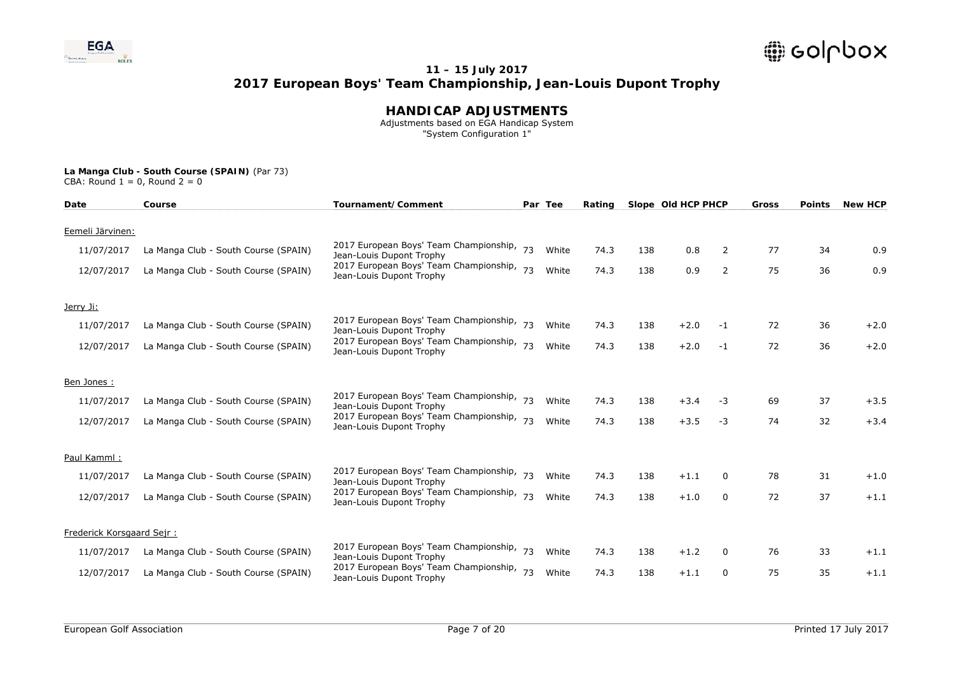

### **HANDICAP ADJUSTMENTS**

 Adjustments based on EGA Handicap System "System Configuration 1"

| Date                      | Course                               | Tournament/Comment                                                    |    | Par Tee | Rating |     | Slope Old HCP PHCP |              | Gross | <b>Points</b> | <b>New HCP</b> |
|---------------------------|--------------------------------------|-----------------------------------------------------------------------|----|---------|--------|-----|--------------------|--------------|-------|---------------|----------------|
| Eemeli Järvinen:          |                                      |                                                                       |    |         |        |     |                    |              |       |               |                |
|                           |                                      |                                                                       |    |         |        |     |                    |              |       |               |                |
| 11/07/2017                | La Manga Club - South Course (SPAIN) | 2017 European Boys' Team Championship, 73<br>Jean-Louis Dupont Trophy |    | White   | 74.3   | 138 | 0.8                | 2            | 77    | 34            | 0.9            |
| 12/07/2017                | La Manga Club - South Course (SPAIN) | 2017 European Boys' Team Championship, 73<br>Jean-Louis Dupont Trophy |    | White   | 74.3   | 138 | 0.9                | 2            | 75    | 36            | 0.9            |
| Jerry Ji:                 |                                      |                                                                       |    |         |        |     |                    |              |       |               |                |
| 11/07/2017                | La Manga Club - South Course (SPAIN) | 2017 European Boys' Team Championship, 73<br>Jean-Louis Dupont Trophy |    | White   | 74.3   | 138 | $+2.0$             | -1           | 72    | 36            | $+2.0$         |
| 12/07/2017                | La Manga Club - South Course (SPAIN) | 2017 European Boys' Team Championship,<br>Jean-Louis Dupont Trophy    | 73 | White   | 74.3   | 138 | $+2.0$             | $-1$         | 72    | 36            | $+2.0$         |
| Ben Jones:                |                                      |                                                                       |    |         |        |     |                    |              |       |               |                |
| 11/07/2017                | La Manga Club - South Course (SPAIN) | 2017 European Boys' Team Championship, 73<br>Jean-Louis Dupont Trophy |    | White   | 74.3   | 138 | $+3.4$             | -3           | 69    | 37            | $+3.5$         |
| 12/07/2017                | La Manga Club - South Course (SPAIN) | 2017 European Boys' Team Championship,<br>Jean-Louis Dupont Trophy    | 73 | White   | 74.3   | 138 | $+3.5$             | $-3$         | 74    | 32            | $+3.4$         |
| Paul Kamml:               |                                      |                                                                       |    |         |        |     |                    |              |       |               |                |
| 11/07/2017                | La Manga Club - South Course (SPAIN) | 2017 European Boys' Team Championship, 73                             |    | White   | 74.3   | 138 | $+1.1$             | 0            | 78    | 31            | $+1.0$         |
|                           |                                      | Jean-Louis Dupont Trophy                                              |    |         |        |     |                    |              |       |               |                |
| 12/07/2017                | La Manga Club - South Course (SPAIN) | 2017 European Boys' Team Championship, 73<br>Jean-Louis Dupont Trophy |    | White   | 74.3   | 138 | $+1.0$             | $\mathbf{0}$ | 72    | 37            | $+1.1$         |
| Frederick Korsgaard Sejr: |                                      |                                                                       |    |         |        |     |                    |              |       |               |                |
| 11/07/2017                | La Manga Club - South Course (SPAIN) | 2017 European Boys' Team Championship,<br>Jean-Louis Dupont Trophy    | 73 | White   | 74.3   | 138 | $+1.2$             | 0            | 76    | 33            | $+1.1$         |
| 12/07/2017                | La Manga Club - South Course (SPAIN) | 2017 European Boys' Team Championship,<br>Jean-Louis Dupont Trophy    | 73 | White   | 74.3   | 138 | $+1.1$             | 0            | 75    | 35            | $+1.1$         |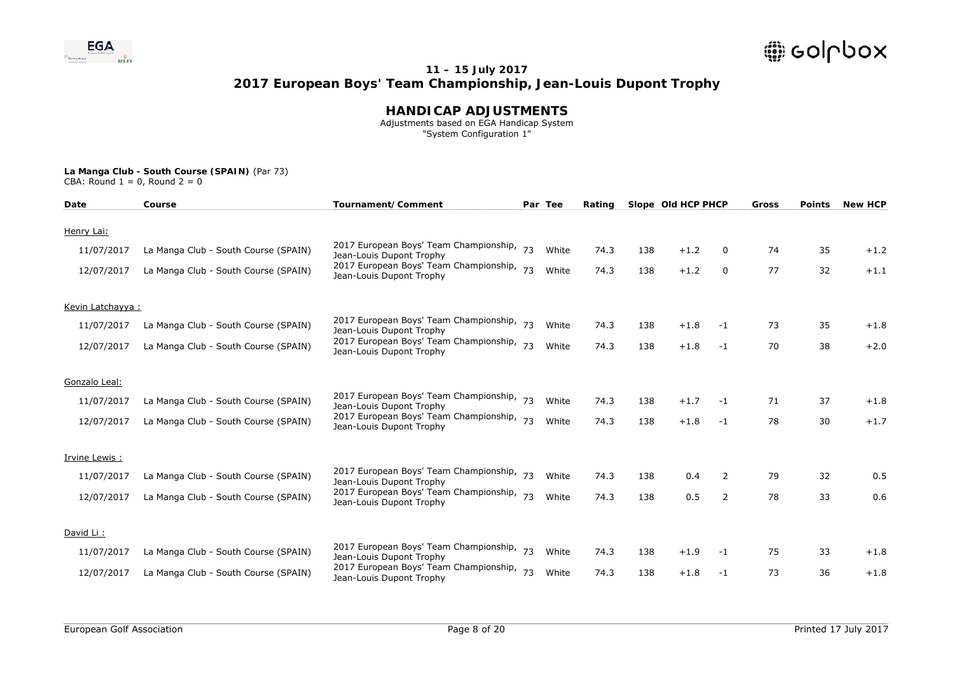

### **HANDICAP ADJUSTMENTS**

 Adjustments based on EGA Handicap System "System Configuration 1"

| Date             | Course                               | Tournament/Comment                                                    |    | Par Tee | Rating |     | Slope Old HCP PHCP |          | Gross | <b>Points</b> | <b>New HCP</b> |
|------------------|--------------------------------------|-----------------------------------------------------------------------|----|---------|--------|-----|--------------------|----------|-------|---------------|----------------|
| Henry Lai:       |                                      |                                                                       |    |         |        |     |                    |          |       |               |                |
|                  |                                      |                                                                       |    |         |        |     |                    |          |       |               |                |
| 11/07/2017       | La Manga Club - South Course (SPAIN) | 2017 European Boys' Team Championship, 73<br>Jean-Louis Dupont Trophy |    | White   | 74.3   | 138 | $+1.2$             | $\Omega$ | 74    | 35            | $+1.2$         |
| 12/07/2017       | La Manga Club - South Course (SPAIN) | 2017 European Boys' Team Championship, 73<br>Jean-Louis Dupont Trophy |    | White   | 74.3   | 138 | $+1.2$             | 0        | 77    | 32            | $+1.1$         |
| Kevin Latchayya: |                                      |                                                                       |    |         |        |     |                    |          |       |               |                |
| 11/07/2017       | La Manga Club - South Course (SPAIN) | 2017 European Boys' Team Championship, 73                             |    | White   | 74.3   | 138 | $+1.8$             | $-1$     | 73    | 35            | $+1.8$         |
|                  |                                      | Jean-Louis Dupont Trophy                                              |    |         |        |     |                    |          |       |               |                |
| 12/07/2017       | La Manga Club - South Course (SPAIN) | 2017 European Boys' Team Championship,<br>Jean-Louis Dupont Trophy    | 73 | White   | 74.3   | 138 | $+1.8$             | $-1$     | 70    | 38            | $+2.0$         |
|                  |                                      |                                                                       |    |         |        |     |                    |          |       |               |                |
| Gonzalo Leal:    |                                      |                                                                       |    |         |        |     |                    |          |       |               |                |
| 11/07/2017       | La Manga Club - South Course (SPAIN) | 2017 European Boys' Team Championship, 73<br>Jean-Louis Dupont Trophy |    | White   | 74.3   | 138 | $+1.7$             | $-1$     | 71    | 37            | $+1.8$         |
| 12/07/2017       | La Manga Club - South Course (SPAIN) | 2017 European Boys' Team Championship, 73                             |    | White   | 74.3   | 138 | $+1.8$             | $-1$     | 78    | 30            | $+1.7$         |
|                  |                                      | Jean-Louis Dupont Trophy                                              |    |         |        |     |                    |          |       |               |                |
| Irvine Lewis:    |                                      |                                                                       |    |         |        |     |                    |          |       |               |                |
|                  |                                      | 2017 European Boys' Team Championship, 73                             |    |         |        |     |                    |          |       |               |                |
| 11/07/2017       | La Manga Club - South Course (SPAIN) | Jean-Louis Dupont Trophy                                              |    | White   | 74.3   | 138 | 0.4                | 2        | 79    | 32            | 0.5            |
| 12/07/2017       | La Manga Club - South Course (SPAIN) | 2017 European Boys' Team Championship, 73<br>Jean-Louis Dupont Trophy |    | White   | 74.3   | 138 | 0.5                | 2        | 78    | 33            | 0.6            |
|                  |                                      |                                                                       |    |         |        |     |                    |          |       |               |                |
| David Li:        |                                      |                                                                       |    |         |        |     |                    |          |       |               |                |
| 11/07/2017       | La Manga Club - South Course (SPAIN) | 2017 European Boys' Team Championship,                                | 73 | White   | 74.3   | 138 | $+1.9$             | $-1$     | 75    | 33            | $+1.8$         |
|                  |                                      | Jean-Louis Dupont Trophy                                              |    |         |        |     |                    |          |       |               |                |
| 12/07/2017       | La Manga Club - South Course (SPAIN) | 2017 European Boys' Team Championship, 73<br>Jean-Louis Dupont Trophy |    | White   | 74.3   | 138 | $+1.8$             | $-1$     | 73    | 36            | $+1.8$         |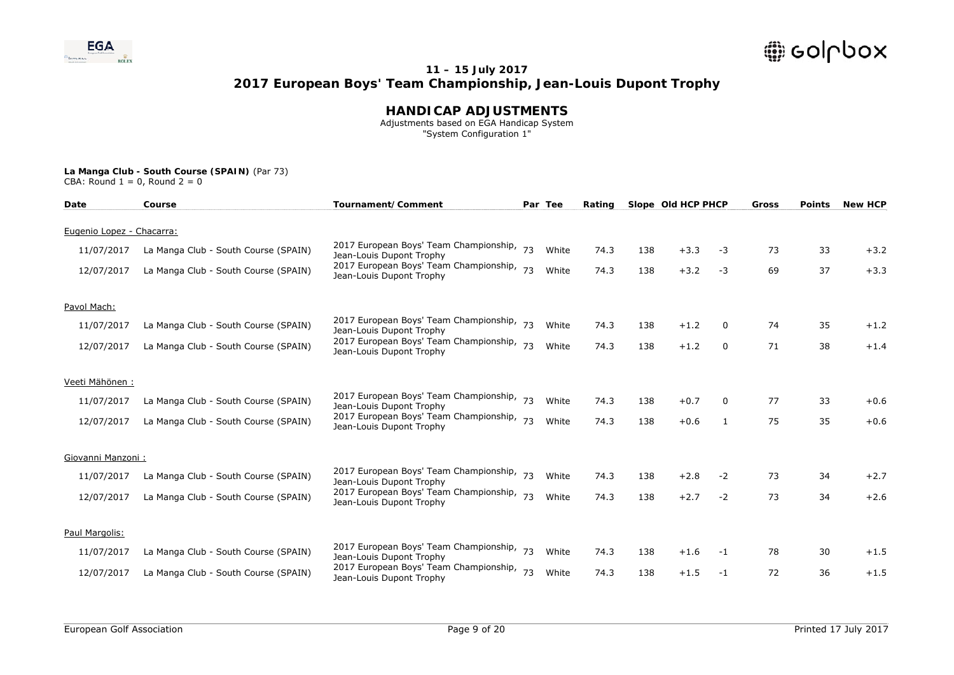

### **HANDICAP ADJUSTMENTS**

 Adjustments based on EGA Handicap System "System Configuration 1"

| Date                      | Course                               | Tournament/Comment                                                    |    | Par Tee | Rating |     | Slope Old HCP PHCP |      | Gross | <b>Points</b> | <b>New HCP</b> |
|---------------------------|--------------------------------------|-----------------------------------------------------------------------|----|---------|--------|-----|--------------------|------|-------|---------------|----------------|
| Eugenio Lopez - Chacarra: |                                      |                                                                       |    |         |        |     |                    |      |       |               |                |
| 11/07/2017                | La Manga Club - South Course (SPAIN) | 2017 European Boys' Team Championship, 73<br>Jean-Louis Dupont Trophy |    | White   | 74.3   | 138 | $+3.3$             | -3   | 73    | 33            | $+3.2$         |
| 12/07/2017                | La Manga Club - South Course (SPAIN) | 2017 European Boys' Team Championship, 73<br>Jean-Louis Dupont Trophy |    | White   | 74.3   | 138 | $+3.2$             | $-3$ | 69    | 37            | $+3.3$         |
| Pavol Mach:               |                                      |                                                                       |    |         |        |     |                    |      |       |               |                |
| 11/07/2017                | La Manga Club - South Course (SPAIN) | 2017 European Boys' Team Championship, 73<br>Jean-Louis Dupont Trophy |    | White   | 74.3   | 138 | $+1.2$             | 0    | 74    | 35            | $+1.2$         |
| 12/07/2017                | La Manga Club - South Course (SPAIN) | 2017 European Boys' Team Championship,<br>Jean-Louis Dupont Trophy    | 73 | White   | 74.3   | 138 | $+1.2$             | 0    | 71    | 38            | $+1.4$         |
| Veeti Mähönen:            |                                      |                                                                       |    |         |        |     |                    |      |       |               |                |
| 11/07/2017                | La Manga Club - South Course (SPAIN) | 2017 European Boys' Team Championship, 73<br>Jean-Louis Dupont Trophy |    | White   | 74.3   | 138 | $+0.7$             | 0    | 77    | 33            | $+0.6$         |
| 12/07/2017                | La Manga Club - South Course (SPAIN) | 2017 European Boys' Team Championship, 73<br>Jean-Louis Dupont Trophy |    | White   | 74.3   | 138 | $+0.6$             | 1    | 75    | 35            | $+0.6$         |
| Giovanni Manzoni:         |                                      |                                                                       |    |         |        |     |                    |      |       |               |                |
| 11/07/2017                | La Manga Club - South Course (SPAIN) | 2017 European Boys' Team Championship, 73<br>Jean-Louis Dupont Trophy |    | White   | 74.3   | 138 | $+2.8$             | $-2$ | 73    | 34            | $+2.7$         |
| 12/07/2017                | La Manga Club - South Course (SPAIN) | 2017 European Boys' Team Championship, 73<br>Jean-Louis Dupont Trophy |    | White   | 74.3   | 138 | $+2.7$             | $-2$ | 73    | 34            | $+2.6$         |
| Paul Margolis:            |                                      |                                                                       |    |         |        |     |                    |      |       |               |                |
| 11/07/2017                | La Manga Club - South Course (SPAIN) | 2017 European Boys' Team Championship,<br>Jean-Louis Dupont Trophy    | 73 | White   | 74.3   | 138 | $+1.6$             | -1   | 78    | 30            | $+1.5$         |
| 12/07/2017                | La Manga Club - South Course (SPAIN) | 2017 European Boys' Team Championship, 73<br>Jean-Louis Dupont Trophy |    | White   | 74.3   | 138 | $+1.5$             | $-1$ | 72    | 36            | $+1.5$         |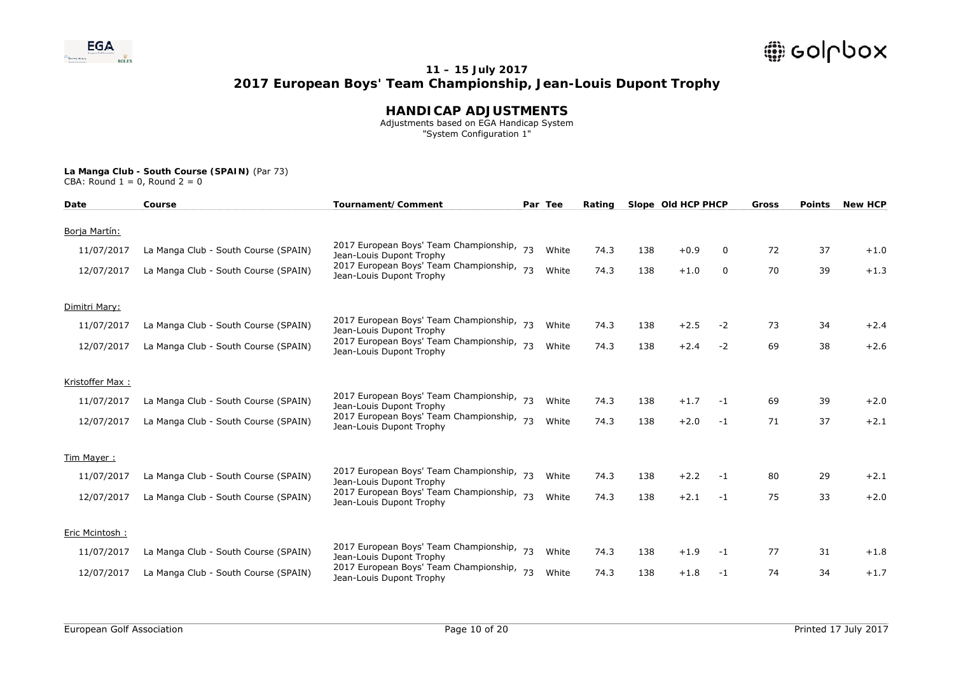

### **HANDICAP ADJUSTMENTS**

 Adjustments based on EGA Handicap System "System Configuration 1"

| Date            | Course                               | Tournament/Comment                                                    |    | Par Tee | Rating |     | Slope Old HCP PHCP |      | Gross | <b>Points</b> | <b>New HCP</b> |
|-----------------|--------------------------------------|-----------------------------------------------------------------------|----|---------|--------|-----|--------------------|------|-------|---------------|----------------|
| Borja Martín:   |                                      |                                                                       |    |         |        |     |                    |      |       |               |                |
| 11/07/2017      | La Manga Club - South Course (SPAIN) | 2017 European Boys' Team Championship, 73<br>Jean-Louis Dupont Trophy |    | White   | 74.3   | 138 | $+0.9$             | 0    | 72    | 37            | $+1.0$         |
| 12/07/2017      | La Manga Club - South Course (SPAIN) | 2017 European Boys' Team Championship,<br>Jean-Louis Dupont Trophy    | 73 | White   | 74.3   | 138 | $+1.0$             | 0    | 70    | 39            | $+1.3$         |
| Dimitri Mary:   |                                      |                                                                       |    |         |        |     |                    |      |       |               |                |
| 11/07/2017      | La Manga Club - South Course (SPAIN) | 2017 European Boys' Team Championship, 73<br>Jean-Louis Dupont Trophy |    | White   | 74.3   | 138 | $+2.5$             | $-2$ | 73    | 34            | $+2.4$         |
| 12/07/2017      | La Manga Club - South Course (SPAIN) | 2017 European Boys' Team Championship, 73<br>Jean-Louis Dupont Trophy |    | White   | 74.3   | 138 | $+2.4$             | $-2$ | 69    | 38            | $+2.6$         |
| Kristoffer Max: |                                      |                                                                       |    |         |        |     |                    |      |       |               |                |
| 11/07/2017      | La Manga Club - South Course (SPAIN) | 2017 European Boys' Team Championship, 73<br>Jean-Louis Dupont Trophy |    | White   | 74.3   | 138 | $+1.7$             | $-1$ | 69    | 39            | $+2.0$         |
| 12/07/2017      | La Manga Club - South Course (SPAIN) | 2017 European Boys' Team Championship,<br>Jean-Louis Dupont Trophy    | 73 | White   | 74.3   | 138 | $+2.0$             | $-1$ | 71    | 37            | $+2.1$         |
| Tim Mayer:      |                                      |                                                                       |    |         |        |     |                    |      |       |               |                |
| 11/07/2017      | La Manga Club - South Course (SPAIN) | 2017 European Boys' Team Championship, 73<br>Jean-Louis Dupont Trophy |    | White   | 74.3   | 138 | $+2.2$             | $-1$ | 80    | 29            | $+2.1$         |
| 12/07/2017      | La Manga Club - South Course (SPAIN) | 2017 European Boys' Team Championship,<br>Jean-Louis Dupont Trophy    | 73 | White   | 74.3   | 138 | $+2.1$             | $-1$ | 75    | 33            | $+2.0$         |
| Eric Mcintosh:  |                                      |                                                                       |    |         |        |     |                    |      |       |               |                |
| 11/07/2017      | La Manga Club - South Course (SPAIN) | 2017 European Boys' Team Championship,<br>Jean-Louis Dupont Trophy    | 73 | White   | 74.3   | 138 | $+1.9$             | -1   | 77    | 31            | $+1.8$         |
| 12/07/2017      | La Manga Club - South Course (SPAIN) | 2017 European Boys' Team Championship,<br>Jean-Louis Dupont Trophy    | 73 | White   | 74.3   | 138 | $+1.8$             | $-1$ | 74    | 34            | $+1.7$         |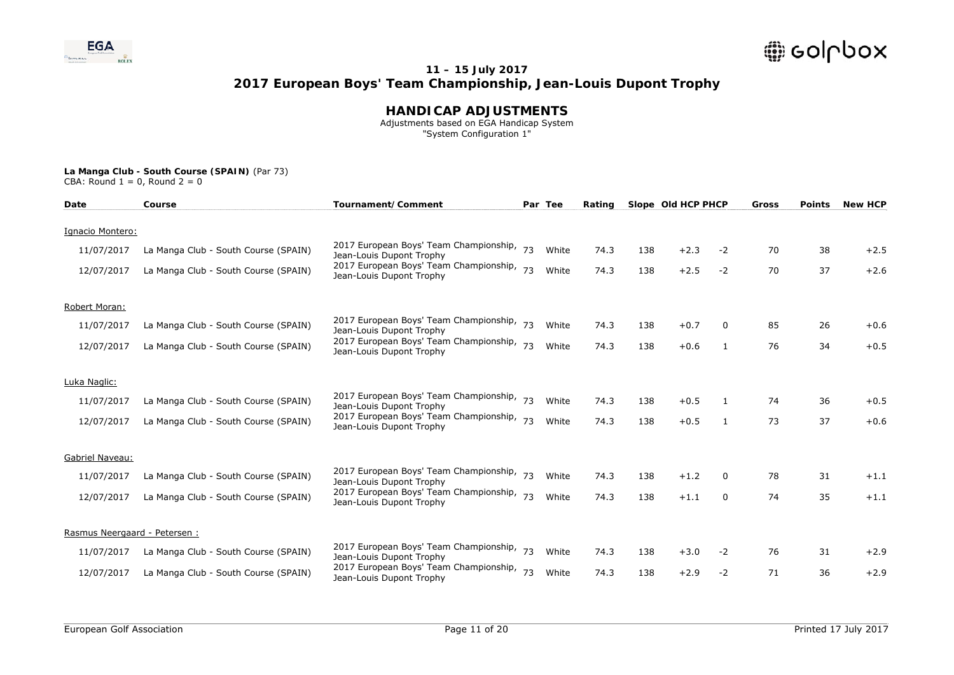

### **HANDICAP ADJUSTMENTS**

 Adjustments based on EGA Handicap System "System Configuration 1"

| Date                          | Course                               | Tournament/Comment                                                    |    | Par Tee | Rating |     | Slope Old HCP PHCP |              | Gross | <b>Points</b> | <b>New HCP</b> |
|-------------------------------|--------------------------------------|-----------------------------------------------------------------------|----|---------|--------|-----|--------------------|--------------|-------|---------------|----------------|
| Ignacio Montero:              |                                      |                                                                       |    |         |        |     |                    |              |       |               |                |
|                               |                                      |                                                                       |    |         |        |     |                    |              |       |               |                |
| 11/07/2017                    | La Manga Club - South Course (SPAIN) | 2017 European Boys' Team Championship, 73<br>Jean-Louis Dupont Trophy |    | White   | 74.3   | 138 | $+2.3$             | $-2$         | 70    | 38            | $+2.5$         |
| 12/07/2017                    | La Manga Club - South Course (SPAIN) | 2017 European Boys' Team Championship, 73<br>Jean-Louis Dupont Trophy |    | White   | 74.3   | 138 | $+2.5$             | $-2$         | 70    | 37            | $+2.6$         |
| Robert Moran:                 |                                      |                                                                       |    |         |        |     |                    |              |       |               |                |
| 11/07/2017                    | La Manga Club - South Course (SPAIN) | 2017 European Boys' Team Championship, 73<br>Jean-Louis Dupont Trophy |    | White   | 74.3   | 138 | $+0.7$             | 0            | 85    | 26            | $+0.6$         |
| 12/07/2017                    | La Manga Club - South Course (SPAIN) | 2017 European Boys' Team Championship, 73<br>Jean-Louis Dupont Trophy |    | White   | 74.3   | 138 | $+0.6$             | 1            | 76    | 34            | $+0.5$         |
| Luka Naglic:                  |                                      |                                                                       |    |         |        |     |                    |              |       |               |                |
| 11/07/2017                    | La Manga Club - South Course (SPAIN) | 2017 European Boys' Team Championship, 73<br>Jean-Louis Dupont Trophy |    | White   | 74.3   | 138 | $+0.5$             | $\mathbf{1}$ | 74    | 36            | $+0.5$         |
| 12/07/2017                    | La Manga Club - South Course (SPAIN) | 2017 European Boys' Team Championship, 73<br>Jean-Louis Dupont Trophy |    | White   | 74.3   | 138 | $+0.5$             | 1            | 73    | 37            | $+0.6$         |
| Gabriel Naveau:               |                                      |                                                                       |    |         |        |     |                    |              |       |               |                |
| 11/07/2017                    | La Manga Club - South Course (SPAIN) | 2017 European Boys' Team Championship, 73<br>Jean-Louis Dupont Trophy |    | White   | 74.3   | 138 | $+1.2$             | $\Omega$     | 78    | 31            | $+1.1$         |
| 12/07/2017                    | La Manga Club - South Course (SPAIN) | 2017 European Boys' Team Championship, 73<br>Jean-Louis Dupont Trophy |    | White   | 74.3   | 138 | $+1.1$             | $\Omega$     | 74    | 35            | $+1.1$         |
| Rasmus Neergaard - Petersen : |                                      |                                                                       |    |         |        |     |                    |              |       |               |                |
|                               |                                      |                                                                       |    |         |        |     |                    |              |       |               |                |
| 11/07/2017                    | La Manga Club - South Course (SPAIN) | 2017 European Boys' Team Championship,<br>Jean-Louis Dupont Trophy    | 73 | White   | 74.3   | 138 | $+3.0$             | $-2$         | 76    | 31            | $+2.9$         |
| 12/07/2017                    | La Manga Club - South Course (SPAIN) | 2017 European Boys' Team Championship, 73<br>Jean-Louis Dupont Trophy |    | White   | 74.3   | 138 | $+2.9$             | $-2$         | 71    | 36            | $+2.9$         |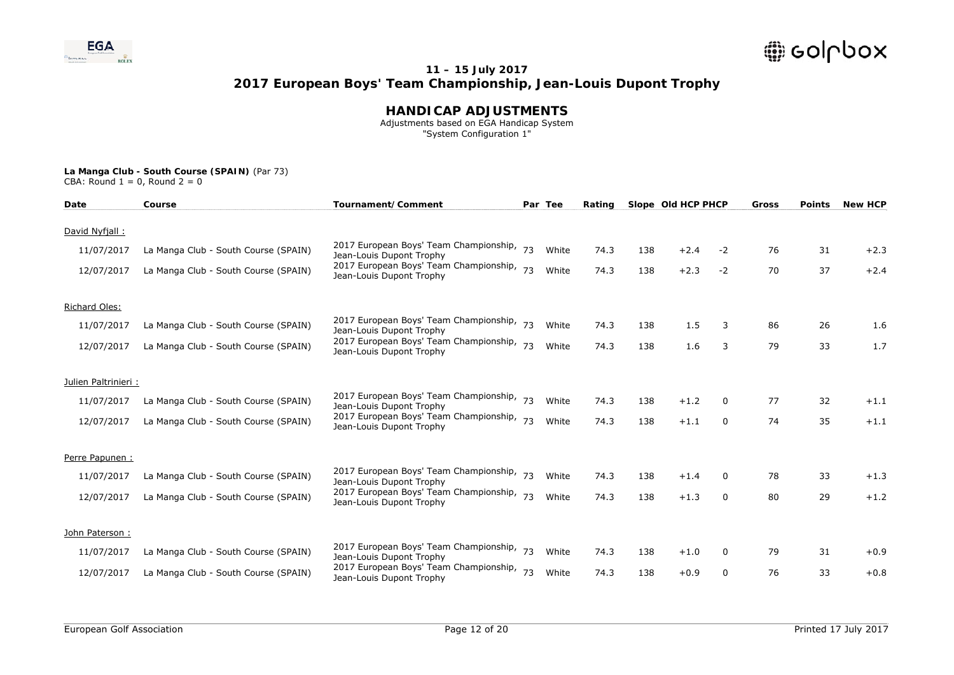

### **HANDICAP ADJUSTMENTS**

 Adjustments based on EGA Handicap System "System Configuration 1"

| Date                 | Course                               | Tournament/Comment                                                    |    | Par Tee | Rating |     | Slope Old HCP PHCP |          | Gross | <b>Points</b> | <b>New HCP</b> |
|----------------------|--------------------------------------|-----------------------------------------------------------------------|----|---------|--------|-----|--------------------|----------|-------|---------------|----------------|
| David Nyfjall:       |                                      |                                                                       |    |         |        |     |                    |          |       |               |                |
| 11/07/2017           | La Manga Club - South Course (SPAIN) | 2017 European Boys' Team Championship, 73<br>Jean-Louis Dupont Trophy |    | White   | 74.3   | 138 | $+2.4$             | $-2$     | 76    | 31            | $+2.3$         |
| 12/07/2017           | La Manga Club - South Course (SPAIN) | 2017 European Boys' Team Championship,<br>Jean-Louis Dupont Trophy    | 73 | White   | 74.3   | 138 | $+2.3$             | $-2$     | 70    | 37            | $+2.4$         |
| Richard Oles:        |                                      |                                                                       |    |         |        |     |                    |          |       |               |                |
| 11/07/2017           | La Manga Club - South Course (SPAIN) | 2017 European Boys' Team Championship, 73<br>Jean-Louis Dupont Trophy |    | White   | 74.3   | 138 | 1.5                | 3        | 86    | 26            | 1.6            |
| 12/07/2017           | La Manga Club - South Course (SPAIN) | 2017 European Boys' Team Championship,<br>Jean-Louis Dupont Trophy    | 73 | White   | 74.3   | 138 | 1.6                | 3        | 79    | 33            | 1.7            |
| Julien Paltrinieri : |                                      |                                                                       |    |         |        |     |                    |          |       |               |                |
| 11/07/2017           | La Manga Club - South Course (SPAIN) | 2017 European Boys' Team Championship, 73<br>Jean-Louis Dupont Trophy |    | White   | 74.3   | 138 | $+1.2$             | 0        | 77    | 32            | $+1.1$         |
| 12/07/2017           | La Manga Club - South Course (SPAIN) | 2017 European Boys' Team Championship,<br>Jean-Louis Dupont Trophy    | 73 | White   | 74.3   | 138 | $+1.1$             | 0        | 74    | 35            | $+1.1$         |
| Perre Papunen :      |                                      |                                                                       |    |         |        |     |                    |          |       |               |                |
| 11/07/2017           | La Manga Club - South Course (SPAIN) | 2017 European Boys' Team Championship,<br>Jean-Louis Dupont Trophy    |    | White   | 74.3   | 138 | $+1.4$             | 0        | 78    | 33            | $+1.3$         |
| 12/07/2017           | La Manga Club - South Course (SPAIN) | 2017 European Boys' Team Championship, 73<br>Jean-Louis Dupont Trophy |    | White   | 74.3   | 138 | $+1.3$             | $\Omega$ | 80    | 29            | $+1.2$         |
| John Paterson:       |                                      |                                                                       |    |         |        |     |                    |          |       |               |                |
| 11/07/2017           | La Manga Club - South Course (SPAIN) | 2017 European Boys' Team Championship,<br>Jean-Louis Dupont Trophy    | 73 | White   | 74.3   | 138 | $+1.0$             | 0        | 79    | 31            | $+0.9$         |
| 12/07/2017           | La Manga Club - South Course (SPAIN) | 2017 European Boys' Team Championship, 73<br>Jean-Louis Dupont Trophy |    | White   | 74.3   | 138 | $+0.9$             | 0        | 76    | 33            | $+0.8$         |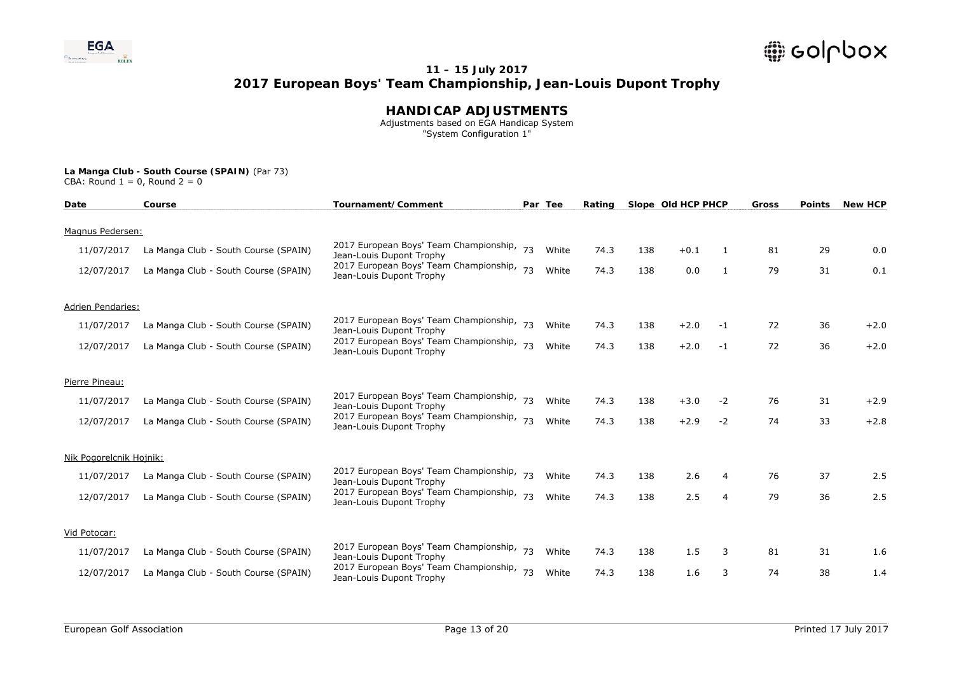

### **HANDICAP ADJUSTMENTS**

 Adjustments based on EGA Handicap System "System Configuration 1"

| Date                     | Course                               | Tournament/Comment                                                    |    | Par Tee | Rating |     | Slope Old HCP PHCP |                | Gross | <b>Points</b> | <b>New HCP</b> |
|--------------------------|--------------------------------------|-----------------------------------------------------------------------|----|---------|--------|-----|--------------------|----------------|-------|---------------|----------------|
| Magnus Pedersen:         |                                      |                                                                       |    |         |        |     |                    |                |       |               |                |
| 11/07/2017               |                                      | 2017 European Boys' Team Championship, 73                             |    | White   | 74.3   | 138 | $+0.1$             | 1              | 81    | 29            | 0.0            |
|                          | La Manga Club - South Course (SPAIN) | Jean-Louis Dupont Trophy                                              |    |         |        |     |                    |                |       |               |                |
| 12/07/2017               | La Manga Club - South Course (SPAIN) | 2017 European Boys' Team Championship, 73<br>Jean-Louis Dupont Trophy |    | White   | 74.3   | 138 | 0.0                | 1              | 79    | 31            | 0.1            |
| <b>Adrien Pendaries:</b> |                                      |                                                                       |    |         |        |     |                    |                |       |               |                |
| 11/07/2017               | La Manga Club - South Course (SPAIN) | 2017 European Boys' Team Championship, 73<br>Jean-Louis Dupont Trophy |    | White   | 74.3   | 138 | $+2.0$             | -1             | 72    | 36            | $+2.0$         |
| 12/07/2017               | La Manga Club - South Course (SPAIN) | 2017 European Boys' Team Championship, 73<br>Jean-Louis Dupont Trophy |    | White   | 74.3   | 138 | $+2.0$             | $-1$           | 72    | 36            | $+2.0$         |
| Pierre Pineau:           |                                      |                                                                       |    |         |        |     |                    |                |       |               |                |
| 11/07/2017               | La Manga Club - South Course (SPAIN) | 2017 European Boys' Team Championship, 73<br>Jean-Louis Dupont Trophy |    | White   | 74.3   | 138 | $+3.0$             | $-2$           | 76    | 31            | $+2.9$         |
| 12/07/2017               | La Manga Club - South Course (SPAIN) | 2017 European Boys' Team Championship, 73<br>Jean-Louis Dupont Trophy |    | White   | 74.3   | 138 | $+2.9$             | $-2$           | 74    | 33            | $+2.8$         |
| Nik Pogorelcnik Hojnik:  |                                      |                                                                       |    |         |        |     |                    |                |       |               |                |
| 11/07/2017               | La Manga Club - South Course (SPAIN) | 2017 European Boys' Team Championship, 73<br>Jean-Louis Dupont Trophy |    | White   | 74.3   | 138 | 2.6                | 4              | 76    | 37            | 2.5            |
| 12/07/2017               | La Manga Club - South Course (SPAIN) | 2017 European Boys' Team Championship, 73<br>Jean-Louis Dupont Trophy |    | White   | 74.3   | 138 | 2.5                | $\overline{4}$ | 79    | 36            | 2.5            |
| Vid Potocar:             |                                      |                                                                       |    |         |        |     |                    |                |       |               |                |
| 11/07/2017               | La Manga Club - South Course (SPAIN) | 2017 European Boys' Team Championship,<br>Jean-Louis Dupont Trophy    | 73 | White   | 74.3   | 138 | 1.5                | 3              | 81    | 31            | 1.6            |
| 12/07/2017               | La Manga Club - South Course (SPAIN) | 2017 European Boys' Team Championship, 73<br>Jean-Louis Dupont Trophy |    | White   | 74.3   | 138 | 1.6                | 3              | 74    | 38            | 1.4            |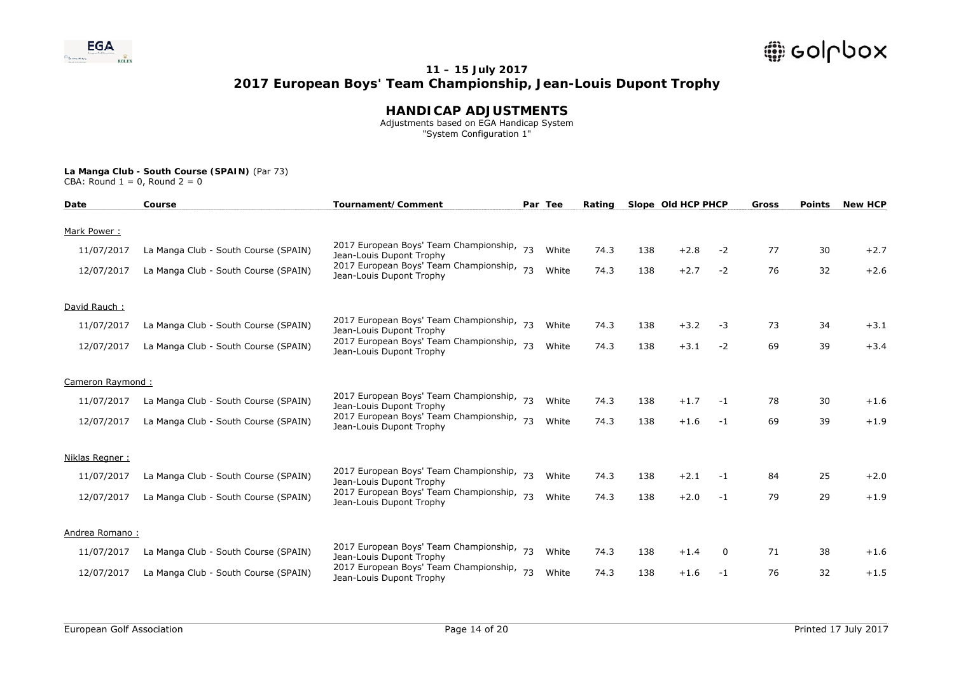

### **HANDICAP ADJUSTMENTS**

 Adjustments based on EGA Handicap System "System Configuration 1"

| Date             | Course                               | Tournament/Comment                                                    |    | Par Tee | Rating |     | Slope Old HCP PHCP |          | Gross | <b>Points</b> | <b>New HCP</b> |
|------------------|--------------------------------------|-----------------------------------------------------------------------|----|---------|--------|-----|--------------------|----------|-------|---------------|----------------|
| Mark Power:      |                                      |                                                                       |    |         |        |     |                    |          |       |               |                |
| 11/07/2017       | La Manga Club - South Course (SPAIN) | 2017 European Boys' Team Championship, 73<br>Jean-Louis Dupont Trophy |    | White   | 74.3   | 138 | $+2.8$             | $-2$     | 77    | 30            | $+2.7$         |
| 12/07/2017       | La Manga Club - South Course (SPAIN) | 2017 European Boys' Team Championship,<br>Jean-Louis Dupont Trophy    | 73 | White   | 74.3   | 138 | $+2.7$             | $-2$     | 76    | 32            | $+2.6$         |
| David Rauch:     |                                      |                                                                       |    |         |        |     |                    |          |       |               |                |
| 11/07/2017       | La Manga Club - South Course (SPAIN) | 2017 European Boys' Team Championship, 73<br>Jean-Louis Dupont Trophy |    | White   | 74.3   | 138 | $+3.2$             | -3       | 73    | 34            | $+3.1$         |
| 12/07/2017       | La Manga Club - South Course (SPAIN) | 2017 European Boys' Team Championship, 73<br>Jean-Louis Dupont Trophy |    | White   | 74.3   | 138 | $+3.1$             | $-2$     | 69    | 39            | $+3.4$         |
| Cameron Raymond: |                                      |                                                                       |    |         |        |     |                    |          |       |               |                |
| 11/07/2017       | La Manga Club - South Course (SPAIN) | 2017 European Boys' Team Championship, 73<br>Jean-Louis Dupont Trophy |    | White   | 74.3   | 138 | $+1.7$             | $-1$     | 78    | 30            | $+1.6$         |
| 12/07/2017       | La Manga Club - South Course (SPAIN) | 2017 European Boys' Team Championship,<br>Jean-Louis Dupont Trophy    | 73 | White   | 74.3   | 138 | $+1.6$             | $-1$     | 69    | 39            | $+1.9$         |
| Niklas Regner:   |                                      |                                                                       |    |         |        |     |                    |          |       |               |                |
| 11/07/2017       | La Manga Club - South Course (SPAIN) | 2017 European Boys' Team Championship, 73<br>Jean-Louis Dupont Trophy |    | White   | 74.3   | 138 | $+2.1$             | $-1$     | 84    | 25            | $+2.0$         |
| 12/07/2017       | La Manga Club - South Course (SPAIN) | 2017 European Boys' Team Championship, 73<br>Jean-Louis Dupont Trophy |    | White   | 74.3   | 138 | $+2.0$             | $-1$     | 79    | 29            | $+1.9$         |
| Andrea Romano:   |                                      |                                                                       |    |         |        |     |                    |          |       |               |                |
| 11/07/2017       | La Manga Club - South Course (SPAIN) | 2017 European Boys' Team Championship,<br>Jean-Louis Dupont Trophy    | 73 | White   | 74.3   | 138 | $+1.4$             | $\Omega$ | 71    | 38            | $+1.6$         |
| 12/07/2017       | La Manga Club - South Course (SPAIN) | 2017 European Boys' Team Championship,<br>Jean-Louis Dupont Trophy    | 73 | White   | 74.3   | 138 | $+1.6$             | $-1$     | 76    | 32            | $+1.5$         |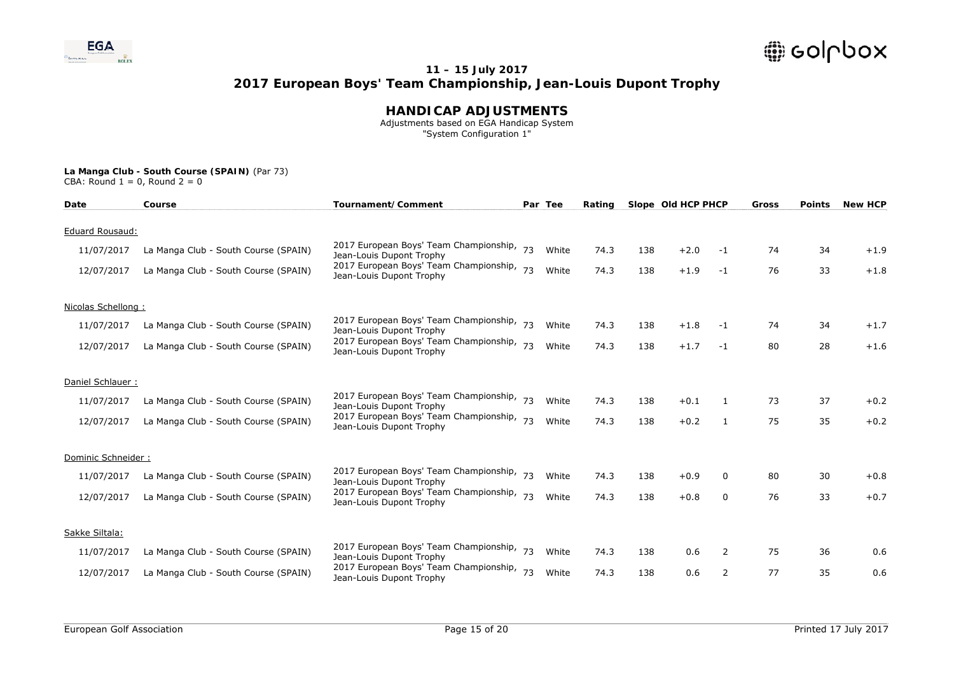

### **HANDICAP ADJUSTMENTS**

 Adjustments based on EGA Handicap System "System Configuration 1"

| Date               | Course                               | Tournament/Comment                                                    |    | Par Tee | Rating |     | Slope Old HCP PHCP |                | <b>Gross</b> | <b>Points</b> | <b>New HCP</b> |
|--------------------|--------------------------------------|-----------------------------------------------------------------------|----|---------|--------|-----|--------------------|----------------|--------------|---------------|----------------|
| Eduard Rousaud:    |                                      |                                                                       |    |         |        |     |                    |                |              |               |                |
| 11/07/2017         | La Manga Club - South Course (SPAIN) | 2017 European Boys' Team Championship, 73                             |    | White   | 74.3   | 138 | $+2.0$             | $-1$           | 74           | 34            | $+1.9$         |
|                    |                                      | Jean-Louis Dupont Trophy                                              |    |         |        |     |                    |                |              |               |                |
| 12/07/2017         | La Manga Club - South Course (SPAIN) | 2017 European Boys' Team Championship,<br>Jean-Louis Dupont Trophy    | 73 | White   | 74.3   | 138 | $+1.9$             | $-1$           | 76           | 33            | $+1.8$         |
| Nicolas Schellong: |                                      |                                                                       |    |         |        |     |                    |                |              |               |                |
| 11/07/2017         | La Manga Club - South Course (SPAIN) | 2017 European Boys' Team Championship, 73<br>Jean-Louis Dupont Trophy |    | White   | 74.3   | 138 | $+1.8$             | $-1$           | 74           | 34            | $+1.7$         |
| 12/07/2017         | La Manga Club - South Course (SPAIN) | 2017 European Boys' Team Championship, 73<br>Jean-Louis Dupont Trophy |    | White   | 74.3   | 138 | $+1.7$             | $-1$           | 80           | 28            | $+1.6$         |
| Daniel Schlauer:   |                                      |                                                                       |    |         |        |     |                    |                |              |               |                |
| 11/07/2017         | La Manga Club - South Course (SPAIN) | 2017 European Boys' Team Championship, 73<br>Jean-Louis Dupont Trophy |    | White   | 74.3   | 138 | $+0.1$             |                | 73           | 37            | $+0.2$         |
| 12/07/2017         | La Manga Club - South Course (SPAIN) | 2017 European Boys' Team Championship, 73<br>Jean-Louis Dupont Trophy |    | White   | 74.3   | 138 | $+0.2$             | 1              | 75           | 35            | $+0.2$         |
| Dominic Schneider: |                                      |                                                                       |    |         |        |     |                    |                |              |               |                |
| 11/07/2017         | La Manga Club - South Course (SPAIN) | 2017 European Boys' Team Championship, 73<br>Jean-Louis Dupont Trophy |    | White   | 74.3   | 138 | $+0.9$             | $\Omega$       | 80           | 30            | $+0.8$         |
| 12/07/2017         | La Manga Club - South Course (SPAIN) | 2017 European Boys' Team Championship, 73<br>Jean-Louis Dupont Trophy |    | White   | 74.3   | 138 | $+0.8$             | $\Omega$       | 76           | 33            | $+0.7$         |
| Sakke Siltala:     |                                      |                                                                       |    |         |        |     |                    |                |              |               |                |
| 11/07/2017         | La Manga Club - South Course (SPAIN) | 2017 European Boys' Team Championship,<br>Jean-Louis Dupont Trophy    | 73 | White   | 74.3   | 138 | 0.6                | 2              | 75           | 36            | 0.6            |
| 12/07/2017         | La Manga Club - South Course (SPAIN) | 2017 European Boys' Team Championship, 73<br>Jean-Louis Dupont Trophy |    | White   | 74.3   | 138 | 0.6                | $\overline{2}$ | 77           | 35            | 0.6            |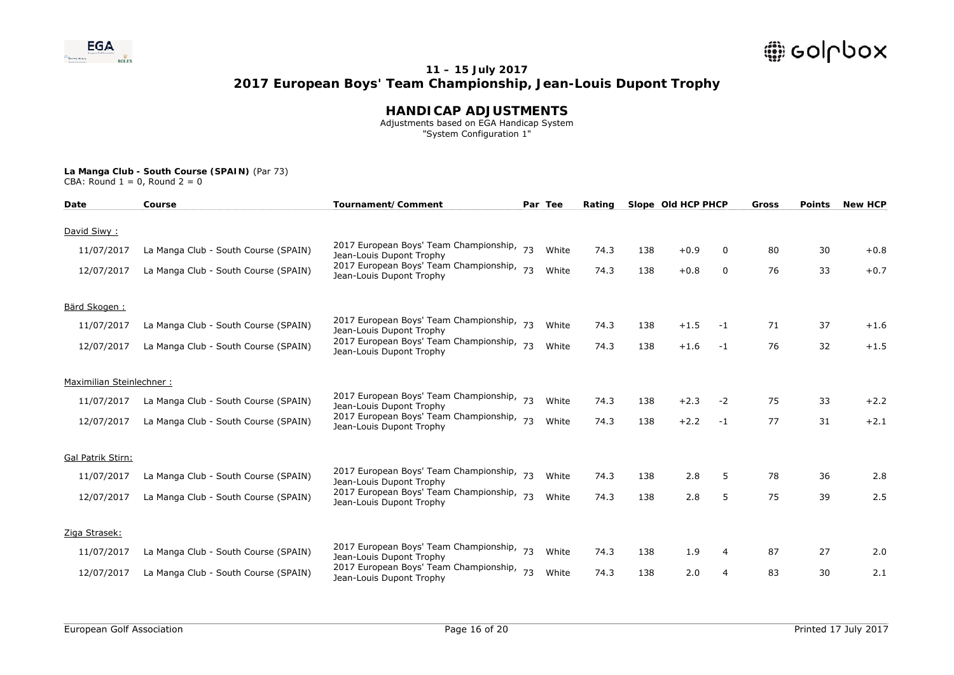

### **HANDICAP ADJUSTMENTS**

 Adjustments based on EGA Handicap System "System Configuration 1"

| Date                     | Course                               | Tournament/Comment                                                    |    | Par Tee | Rating |     | Slope Old HCP PHCP |      | Gross | <b>Points</b> | <b>New HCP</b> |
|--------------------------|--------------------------------------|-----------------------------------------------------------------------|----|---------|--------|-----|--------------------|------|-------|---------------|----------------|
| David Siwy:              |                                      |                                                                       |    |         |        |     |                    |      |       |               |                |
| 11/07/2017               | La Manga Club - South Course (SPAIN) | 2017 European Boys' Team Championship, 73<br>Jean-Louis Dupont Trophy |    | White   | 74.3   | 138 | $+0.9$             | 0    | 80    | 30            | $+0.8$         |
| 12/07/2017               | La Manga Club - South Course (SPAIN) | 2017 European Boys' Team Championship, 73<br>Jean-Louis Dupont Trophy |    | White   | 74.3   | 138 | $+0.8$             | 0    | 76    | 33            | $+0.7$         |
| Bärd Skogen:             |                                      |                                                                       |    |         |        |     |                    |      |       |               |                |
| 11/07/2017               | La Manga Club - South Course (SPAIN) | 2017 European Boys' Team Championship, 73<br>Jean-Louis Dupont Trophy |    | White   | 74.3   | 138 | $+1.5$             | -1   | 71    | 37            | $+1.6$         |
| 12/07/2017               | La Manga Club - South Course (SPAIN) | 2017 European Boys' Team Championship,<br>Jean-Louis Dupont Trophy    | 73 | White   | 74.3   | 138 | $+1.6$             | $-1$ | 76    | 32            | $+1.5$         |
| Maximilian Steinlechner: |                                      |                                                                       |    |         |        |     |                    |      |       |               |                |
| 11/07/2017               | La Manga Club - South Course (SPAIN) | 2017 European Boys' Team Championship, 73<br>Jean-Louis Dupont Trophy |    | White   | 74.3   | 138 | $+2.3$             | $-2$ | 75    | 33            | $+2.2$         |
| 12/07/2017               | La Manga Club - South Course (SPAIN) | 2017 European Boys' Team Championship,<br>Jean-Louis Dupont Trophy    | 73 | White   | 74.3   | 138 | $+2.2$             | $-1$ | 77    | 31            | $+2.1$         |
| Gal Patrik Stirn:        |                                      |                                                                       |    |         |        |     |                    |      |       |               |                |
| 11/07/2017               | La Manga Club - South Course (SPAIN) | 2017 European Boys' Team Championship, 73<br>Jean-Louis Dupont Trophy |    | White   | 74.3   | 138 | 2.8                | 5    | 78    | 36            | 2.8            |
| 12/07/2017               | La Manga Club - South Course (SPAIN) | 2017 European Boys' Team Championship, 73<br>Jean-Louis Dupont Trophy |    | White   | 74.3   | 138 | 2.8                | 5    | 75    | 39            | 2.5            |
| Ziga Strasek:            |                                      |                                                                       |    |         |        |     |                    |      |       |               |                |
| 11/07/2017               | La Manga Club - South Course (SPAIN) | 2017 European Boys' Team Championship,<br>Jean-Louis Dupont Trophy    | 73 | White   | 74.3   | 138 | 1.9                | 4    | 87    | 27            | 2.0            |
| 12/07/2017               | La Manga Club - South Course (SPAIN) | 2017 European Boys' Team Championship,<br>Jean-Louis Dupont Trophy    | 73 | White   | 74.3   | 138 | 2.0                | 4    | 83    | 30            | 2.1            |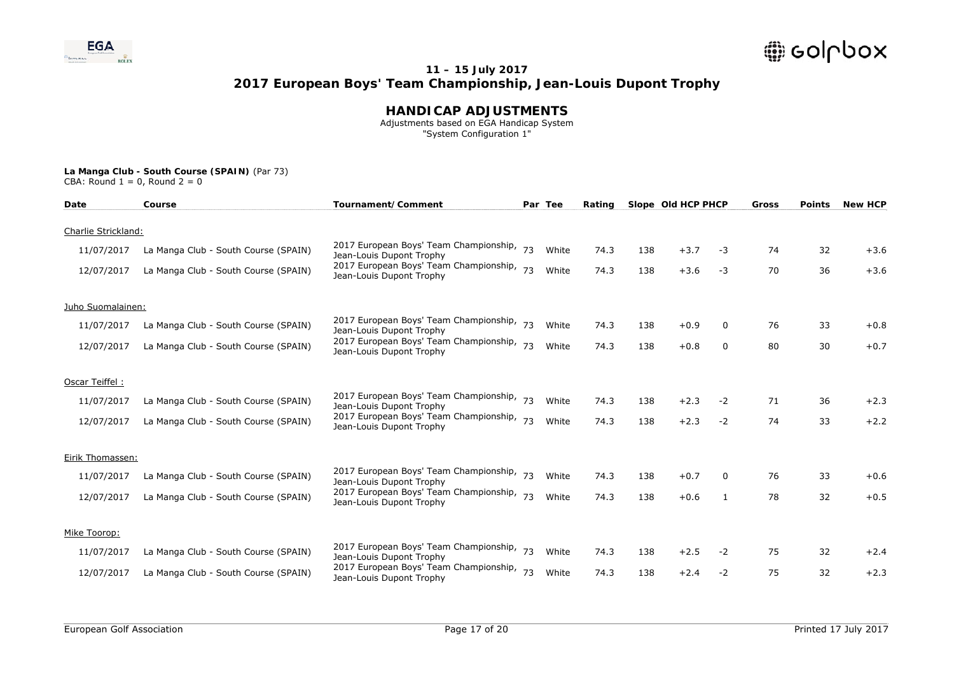

### **HANDICAP ADJUSTMENTS**

 Adjustments based on EGA Handicap System "System Configuration 1"

| Date                | Course                               | Tournament/Comment                                                    |    | Par Tee | Rating |     | Slope Old HCP PHCP |              | <b>Gross</b> | <b>Points</b> | <b>New HCP</b> |
|---------------------|--------------------------------------|-----------------------------------------------------------------------|----|---------|--------|-----|--------------------|--------------|--------------|---------------|----------------|
| Charlie Strickland: |                                      |                                                                       |    |         |        |     |                    |              |              |               |                |
| 11/07/2017          | La Manga Club - South Course (SPAIN) | 2017 European Boys' Team Championship, 73<br>Jean-Louis Dupont Trophy |    | White   | 74.3   | 138 | $+3.7$             | -3           | 74           | 32            | $+3.6$         |
| 12/07/2017          | La Manga Club - South Course (SPAIN) | 2017 European Boys' Team Championship,<br>Jean-Louis Dupont Trophy    | 73 | White   | 74.3   | 138 | $+3.6$             | $-3$         | 70           | 36            | $+3.6$         |
| Juho Suomalainen:   |                                      |                                                                       |    |         |        |     |                    |              |              |               |                |
| 11/07/2017          | La Manga Club - South Course (SPAIN) | 2017 European Boys' Team Championship, 73<br>Jean-Louis Dupont Trophy |    | White   | 74.3   | 138 | $+0.9$             | $\mathbf{0}$ | 76           | 33            | $+0.8$         |
| 12/07/2017          | La Manga Club - South Course (SPAIN) | 2017 European Boys' Team Championship, 73<br>Jean-Louis Dupont Trophy |    | White   | 74.3   | 138 | $+0.8$             | 0            | 80           | 30            | $+0.7$         |
| Oscar Teiffel:      |                                      |                                                                       |    |         |        |     |                    |              |              |               |                |
| 11/07/2017          | La Manga Club - South Course (SPAIN) | 2017 European Boys' Team Championship, 73<br>Jean-Louis Dupont Trophy |    | White   | 74.3   | 138 | $+2.3$             | $-2$         | 71           | 36            | $+2.3$         |
| 12/07/2017          | La Manga Club - South Course (SPAIN) | 2017 European Boys' Team Championship,<br>Jean-Louis Dupont Trophy    | 73 | White   | 74.3   | 138 | $+2.3$             | $-2$         | 74           | 33            | $+2.2$         |
| Eirik Thomassen:    |                                      |                                                                       |    |         |        |     |                    |              |              |               |                |
| 11/07/2017          | La Manga Club - South Course (SPAIN) | 2017 European Boys' Team Championship,<br>Jean-Louis Dupont Trophy    |    | White   | 74.3   | 138 | $+0.7$             | 0            | 76           | 33            | $+0.6$         |
| 12/07/2017          | La Manga Club - South Course (SPAIN) | 2017 European Boys' Team Championship, 73<br>Jean-Louis Dupont Trophy |    | White   | 74.3   | 138 | $+0.6$             | 1            | 78           | 32            | $+0.5$         |
| Mike Toorop:        |                                      |                                                                       |    |         |        |     |                    |              |              |               |                |
| 11/07/2017          | La Manga Club - South Course (SPAIN) | 2017 European Boys' Team Championship,<br>Jean-Louis Dupont Trophy    | 73 | White   | 74.3   | 138 | $+2.5$             | $-2$         | 75           | 32            | $+2.4$         |
| 12/07/2017          | La Manga Club - South Course (SPAIN) | 2017 European Boys' Team Championship,<br>Jean-Louis Dupont Trophy    | 73 | White   | 74.3   | 138 | $+2.4$             | $-2$         | 75           | 32            | $+2.3$         |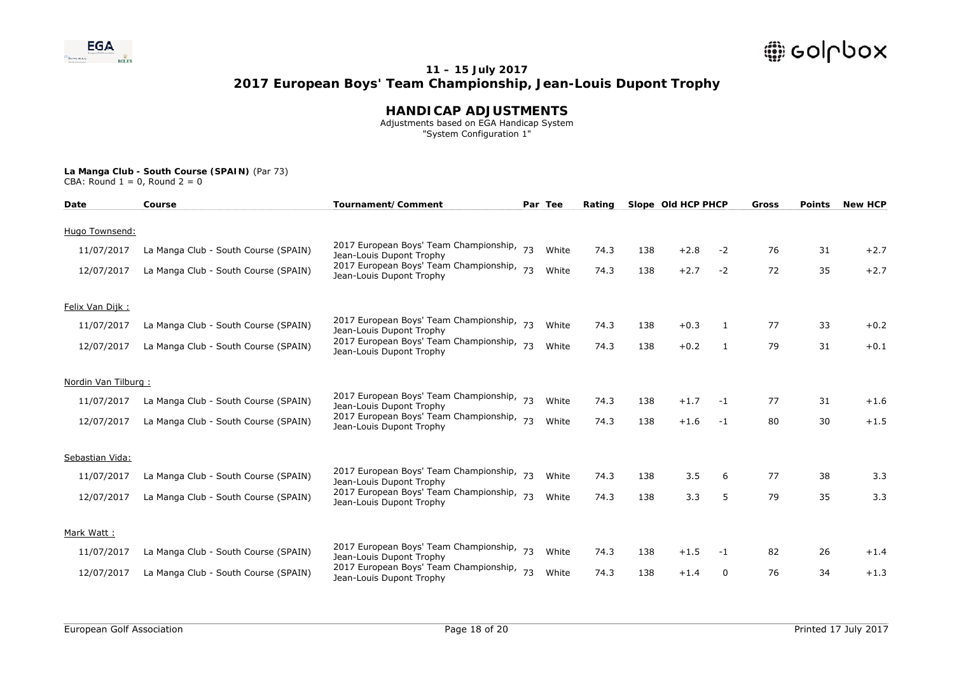

### **HANDICAP ADJUSTMENTS**

 Adjustments based on EGA Handicap System "System Configuration 1"

| Date                | Course                               | Tournament/Comment                                                    |    | Par Tee | Rating |     | Slope Old HCP PHCP |      | Gross | <b>Points</b> | <b>New HCP</b> |
|---------------------|--------------------------------------|-----------------------------------------------------------------------|----|---------|--------|-----|--------------------|------|-------|---------------|----------------|
| Hugo Townsend:      |                                      |                                                                       |    |         |        |     |                    |      |       |               |                |
| 11/07/2017          | La Manga Club - South Course (SPAIN) | 2017 European Boys' Team Championship, 73<br>Jean-Louis Dupont Trophy |    | White   | 74.3   | 138 | $+2.8$             | $-2$ | 76    | 31            | $+2.7$         |
| 12/07/2017          | La Manga Club - South Course (SPAIN) | 2017 European Boys' Team Championship,<br>Jean-Louis Dupont Trophy    | 73 | White   | 74.3   | 138 | $+2.7$             | $-2$ | 72    | 35            | $+2.7$         |
| Felix Van Dijk:     |                                      |                                                                       |    |         |        |     |                    |      |       |               |                |
| 11/07/2017          | La Manga Club - South Course (SPAIN) | 2017 European Boys' Team Championship, 73<br>Jean-Louis Dupont Trophy |    | White   | 74.3   | 138 | $+0.3$             | 1    | 77    | 33            | $+0.2$         |
| 12/07/2017          | La Manga Club - South Course (SPAIN) | 2017 European Boys' Team Championship, 73<br>Jean-Louis Dupont Trophy |    | White   | 74.3   | 138 | $+0.2$             | 1    | 79    | 31            | $+0.1$         |
| Nordin Van Tilburg: |                                      |                                                                       |    |         |        |     |                    |      |       |               |                |
| 11/07/2017          | La Manga Club - South Course (SPAIN) | 2017 European Boys' Team Championship, 73<br>Jean-Louis Dupont Trophy |    | White   | 74.3   | 138 | $+1.7$             | -1   | 77    | 31            | $+1.6$         |
| 12/07/2017          | La Manga Club - South Course (SPAIN) | 2017 European Boys' Team Championship,<br>Jean-Louis Dupont Trophy    | 73 | White   | 74.3   | 138 | $+1.6$             | $-1$ | 80    | 30            | $+1.5$         |
| Sebastian Vida:     |                                      |                                                                       |    |         |        |     |                    |      |       |               |                |
| 11/07/2017          | La Manga Club - South Course (SPAIN) | 2017 European Boys' Team Championship,<br>Jean-Louis Dupont Trophy    |    | White   | 74.3   | 138 | 3.5                | 6    | 77    | 38            | 3.3            |
| 12/07/2017          | La Manga Club - South Course (SPAIN) | 2017 European Boys' Team Championship, 73<br>Jean-Louis Dupont Trophy |    | White   | 74.3   | 138 | 3.3                | 5    | 79    | 35            | 3.3            |
| Mark Watt:          |                                      |                                                                       |    |         |        |     |                    |      |       |               |                |
| 11/07/2017          | La Manga Club - South Course (SPAIN) | 2017 European Boys' Team Championship,<br>Jean-Louis Dupont Trophy    | 73 | White   | 74.3   | 138 | $+1.5$             | -1   | 82    | 26            | $+1.4$         |
| 12/07/2017          | La Manga Club - South Course (SPAIN) | 2017 European Boys' Team Championship, 73<br>Jean-Louis Dupont Trophy |    | White   | 74.3   | 138 | $+1.4$             | 0    | 76    | 34            | $+1.3$         |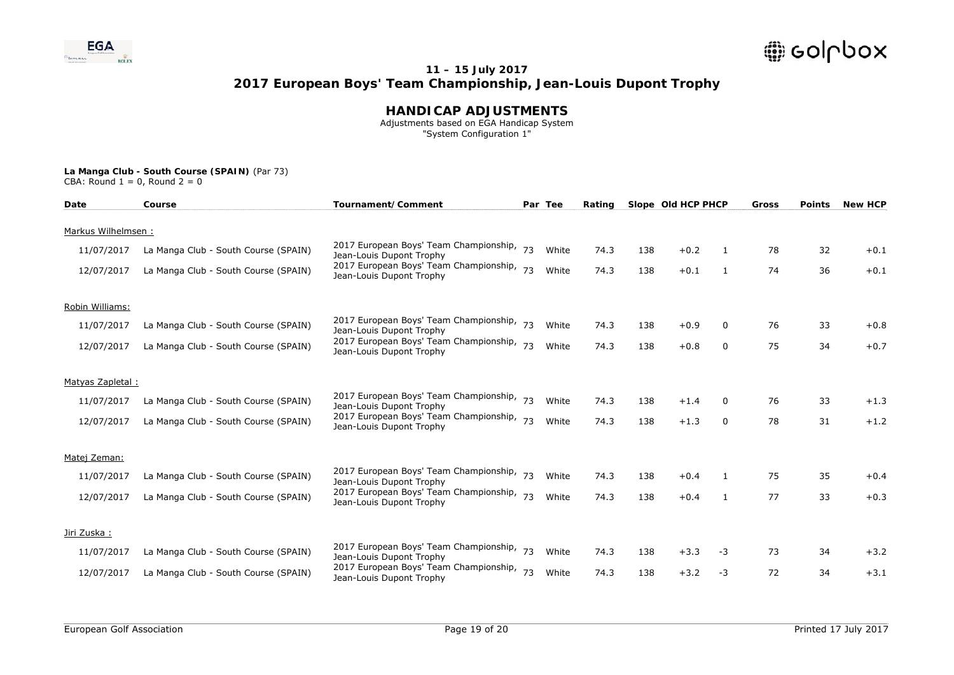

### **HANDICAP ADJUSTMENTS**

 Adjustments based on EGA Handicap System "System Configuration 1"

| Date               | Course                               | Tournament/Comment                                                    |    | Par Tee | Rating |     | Slope Old HCP PHCP |              | Gross | <b>Points</b> | <b>New HCP</b> |
|--------------------|--------------------------------------|-----------------------------------------------------------------------|----|---------|--------|-----|--------------------|--------------|-------|---------------|----------------|
| Markus Wilhelmsen: |                                      |                                                                       |    |         |        |     |                    |              |       |               |                |
| 11/07/2017         | La Manga Club - South Course (SPAIN) | 2017 European Boys' Team Championship, 73<br>Jean-Louis Dupont Trophy |    | White   | 74.3   | 138 | $+0.2$             | -1           | 78    | 32            | $+0.1$         |
| 12/07/2017         | La Manga Club - South Course (SPAIN) | 2017 European Boys' Team Championship, 73<br>Jean-Louis Dupont Trophy |    | White   | 74.3   | 138 | $+0.1$             | 1            | 74    | 36            | $+0.1$         |
| Robin Williams:    |                                      |                                                                       |    |         |        |     |                    |              |       |               |                |
| 11/07/2017         | La Manga Club - South Course (SPAIN) | 2017 European Boys' Team Championship, 73<br>Jean-Louis Dupont Trophy |    | White   | 74.3   | 138 | $+0.9$             | 0            | 76    | 33            | $+0.8$         |
| 12/07/2017         | La Manga Club - South Course (SPAIN) | 2017 European Boys' Team Championship,<br>Jean-Louis Dupont Trophy    | 73 | White   | 74.3   | 138 | $+0.8$             | 0            | 75    | 34            | $+0.7$         |
| Matyas Zapletal:   |                                      |                                                                       |    |         |        |     |                    |              |       |               |                |
| 11/07/2017         | La Manga Club - South Course (SPAIN) | 2017 European Boys' Team Championship, 73<br>Jean-Louis Dupont Trophy |    | White   | 74.3   | 138 | $+1.4$             | $\mathbf{0}$ | 76    | 33            | $+1.3$         |
| 12/07/2017         | La Manga Club - South Course (SPAIN) | 2017 European Boys' Team Championship, 73<br>Jean-Louis Dupont Trophy |    | White   | 74.3   | 138 | $+1.3$             | $\mathbf{0}$ | 78    | 31            | $+1.2$         |
| Matej Zeman:       |                                      |                                                                       |    |         |        |     |                    |              |       |               |                |
| 11/07/2017         | La Manga Club - South Course (SPAIN) | 2017 European Boys' Team Championship,<br>Jean-Louis Dupont Trophy    |    | White   | 74.3   | 138 | $+0.4$             | -1           | 75    | 35            | $+0.4$         |
| 12/07/2017         | La Manga Club - South Course (SPAIN) | 2017 European Boys' Team Championship, 73<br>Jean-Louis Dupont Trophy |    | White   | 74.3   | 138 | $+0.4$             | 1            | 77    | 33            | $+0.3$         |
| Jiri Zuska:        |                                      |                                                                       |    |         |        |     |                    |              |       |               |                |
| 11/07/2017         | La Manga Club - South Course (SPAIN) | 2017 European Boys' Team Championship,<br>Jean-Louis Dupont Trophy    | 73 | White   | 74.3   | 138 | $+3.3$             | -3           | 73    | 34            | $+3.2$         |
| 12/07/2017         | La Manga Club - South Course (SPAIN) | 2017 European Boys' Team Championship, 73<br>Jean-Louis Dupont Trophy |    | White   | 74.3   | 138 | $+3.2$             | $-3$         | 72    | 34            | $+3.1$         |